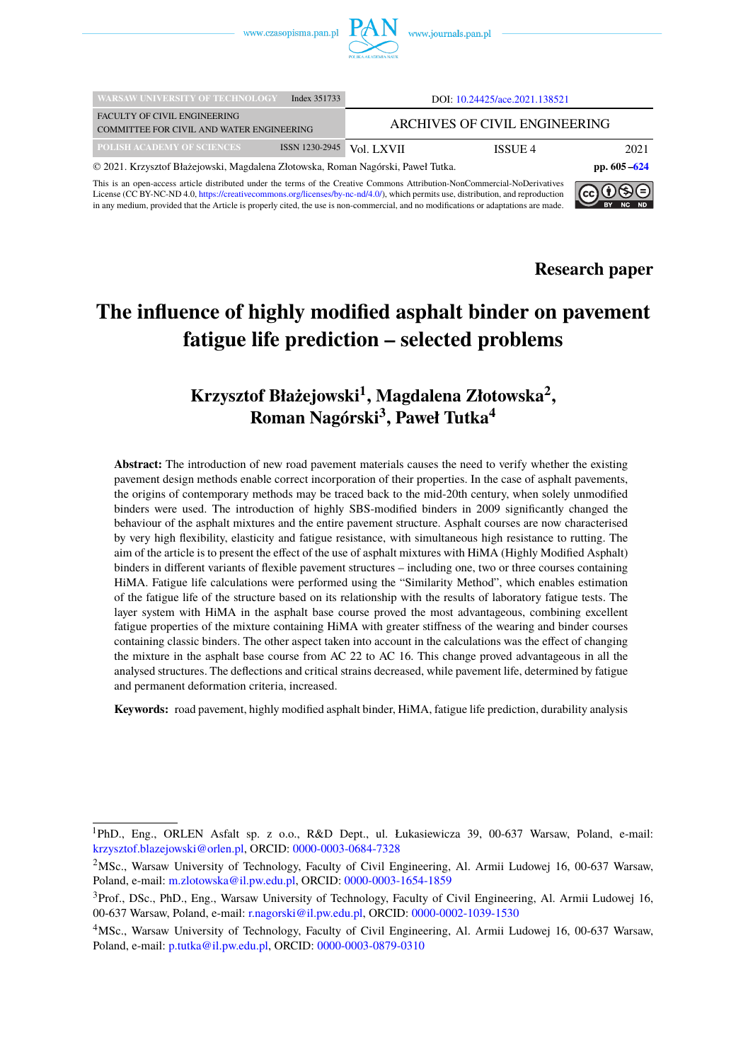

| <b>WARSAW UNIVERSITY OF TECHNOLOGY</b>                                                  | Index 351733   | DOI: 10.24425/ace.2021.138521 |                 |      |
|-----------------------------------------------------------------------------------------|----------------|-------------------------------|-----------------|------|
| <b>FACULTY OF CIVIL ENGINEERING</b><br><b>COMMITTEE FOR CIVIL AND WATER ENGINEERING</b> |                | ARCHIVES OF CIVIL ENGINEERING |                 |      |
| <b>POLISH ACADEMY OF SCIENCES</b>                                                       | ISSN 1230-2945 | Vol. LXVII                    | ISSUE 4         | 2021 |
| © 2021. Krzysztof Błażejowski, Magdalena Złotowska, Roman Nagórski, Paweł Tutka.        |                |                               | pp. $605 - 624$ |      |

This is an open-access article distributed under the terms of the Creative Commons Attribution-NonCommercial-NoDerivatives License (CC BY-NC-ND 4.0, [https://creativecommons.org/licenses/by-nc-nd/4.0/\)](https://creativecommons.org/licenses/by-nc-nd/4.0/), which permits use, distribution, and reproduction in any medium, provided that the Article is properly cited, the use is non-commercial, and no modifications or adaptations are made.



**Research paper**

# **The influence of highly modified asphalt binder on pavement fatigue life prediction – selected problems**

## **Krzysztof Błażejowski<sup>1</sup> , Magdalena Złotowska<sup>2</sup> , Roman Nagórski<sup>3</sup> , Paweł Tutka<sup>4</sup>**

Abstract: The introduction of new road pavement materials causes the need to verify whether the existing pavement design methods enable correct incorporation of their properties. In the case of asphalt pavements, the origins of contemporary methods may be traced back to the mid-20th century, when solely unmodified binders were used. The introduction of highly SBS-modified binders in 2009 significantly changed the behaviour of the asphalt mixtures and the entire pavement structure. Asphalt courses are now characterised by very high flexibility, elasticity and fatigue resistance, with simultaneous high resistance to rutting. The aim of the article is to present the effect of the use of asphalt mixtures with HiMA (Highly Modified Asphalt) binders in different variants of flexible pavement structures – including one, two or three courses containing HiMA. Fatigue life calculations were performed using the "Similarity Method", which enables estimation of the fatigue life of the structure based on its relationship with the results of laboratory fatigue tests. The layer system with HiMA in the asphalt base course proved the most advantageous, combining excellent fatigue properties of the mixture containing HiMA with greater stiffness of the wearing and binder courses containing classic binders. The other aspect taken into account in the calculations was the effect of changing the mixture in the asphalt base course from AC 22 to AC 16. This change proved advantageous in all the analysed structures. The deflections and critical strains decreased, while pavement life, determined by fatigue and permanent deformation criteria, increased.

**Keywords:** road pavement, highly modified asphalt binder, HiMA, fatigue life prediction, durability analysis

<sup>1</sup>PhD., Eng., ORLEN Asfalt sp. z o.o., R&D Dept., ul. Łukasiewicza 39, 00-637 Warsaw, Poland, e-mail: [krzysztof.blazejowski@orlen.pl,](mailto:krzysztof.blazejowski@orlen.pl) ORCID: [0000-0003-0684-7328](https://orcid.org/0000-0003-0684-7328)

<sup>2</sup>MSc., Warsaw University of Technology, Faculty of Civil Engineering, Al. Armii Ludowej 16, 00-637 Warsaw, Poland, e-mail: [m.zlotowska@il.pw.edu.pl,](mailto:m.zlotowska@il.pw.edu.pl) ORCID: [0000-0003-1654-1859](https://orcid.org/0000-0003-1654-1859)

<sup>&</sup>lt;sup>3</sup>Prof., DSc., PhD., Eng., Warsaw University of Technology, Faculty of Civil Engineering, Al. Armii Ludowej 16, 00-637 Warsaw, Poland, e-mail: [r.nagorski@il.pw.edu.pl,](mailto:r.nagorski@il.pw.edu.pl) ORCID: [0000-0002-1039-1530](https://orcid.org/0000-0002-1039-1530)

<sup>4</sup>MSc., Warsaw University of Technology, Faculty of Civil Engineering, Al. Armii Ludowej 16, 00-637 Warsaw, Poland, e-mail: [p.tutka@il.pw.edu.pl,](mailto:p.tutka@il.pw.edu.pl) ORCID: [0000-0003-0879-0310](https://orcid.org/0000-0003-0879-0310)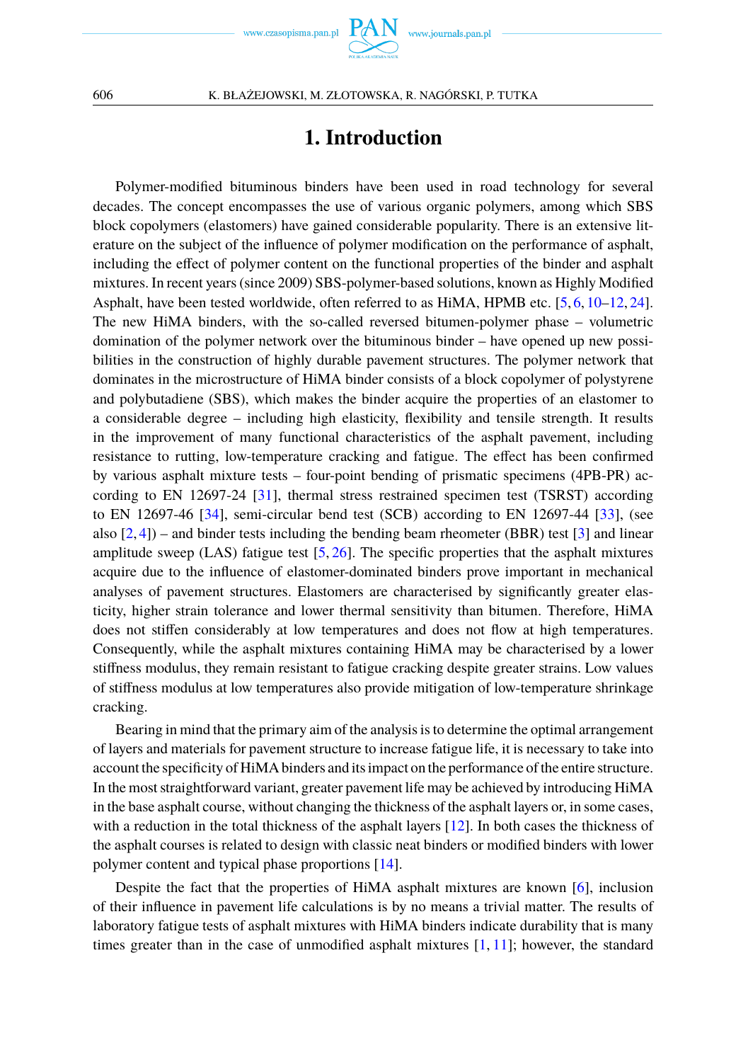# **1. Introduction**

<span id="page-1-0"></span>Polymer-modified bituminous binders have been used in road technology for several decades. The concept encompasses the use of various organic polymers, among which SBS block copolymers (elastomers) have gained considerable popularity. There is an extensive literature on the subject of the influence of polymer modification on the performance of asphalt, including the effect of polymer content on the functional properties of the binder and asphalt mixtures. In recent years (since 2009) SBS-polymer-based solutions, known as Highly Modified Asphalt, have been tested worldwide, often referred to as HiMA, HPMB etc. [\[5,](#page-17-0) [6,](#page-17-1) [10–](#page-17-2)[12,](#page-17-3) [24\]](#page-18-1). The new HiMA binders, with the so-called reversed bitumen-polymer phase – volumetric domination of the polymer network over the bituminous binder – have opened up new possibilities in the construction of highly durable pavement structures. The polymer network that dominates in the microstructure of HiMA binder consists of a block copolymer of polystyrene and polybutadiene (SBS), which makes the binder acquire the properties of an elastomer to a considerable degree – including high elasticity, flexibility and tensile strength. It results in the improvement of many functional characteristics of the asphalt pavement, including resistance to rutting, low-temperature cracking and fatigue. The effect has been confirmed by various asphalt mixture tests – four-point bending of prismatic specimens (4PB-PR) according to EN 12697-24 [\[31\]](#page-18-2), thermal stress restrained specimen test (TSRST) according to EN 12697-46 [\[34\]](#page-18-3), semi-circular bend test (SCB) according to EN 12697-44 [\[33\]](#page-18-4), (see also  $[2, 4]$  $[2, 4]$  $[2, 4]$  – and binder tests including the bending beam rheometer (BBR) test  $[3]$  and linear amplitude sweep  $(LAS)$  fatigue test  $[5, 26]$  $[5, 26]$  $[5, 26]$ . The specific properties that the asphalt mixtures acquire due to the influence of elastomer-dominated binders prove important in mechanical analyses of pavement structures. Elastomers are characterised by significantly greater elasticity, higher strain tolerance and lower thermal sensitivity than bitumen. Therefore, HiMA does not stiffen considerably at low temperatures and does not flow at high temperatures. Consequently, while the asphalt mixtures containing HiMA may be characterised by a lower stiffness modulus, they remain resistant to fatigue cracking despite greater strains. Low values of stiffness modulus at low temperatures also provide mitigation of low-temperature shrinkage cracking.

Bearing in mind that the primary aim of the analysis is to determine the optimal arrangement of layers and materials for pavement structure to increase fatigue life, it is necessary to take into account the specificity of HiMA binders and its impact on the performance of the entire structure. In the most straightforward variant, greater pavement life may be achieved by introducing HiMA in the base asphalt course, without changing the thickness of the asphalt layers or, in some cases, with a reduction in the total thickness of the asphalt layers [\[12\]](#page-17-3). In both cases the thickness of the asphalt courses is related to design with classic neat binders or modified binders with lower polymer content and typical phase proportions [\[14\]](#page-17-7).

Despite the fact that the properties of HiMA asphalt mixtures are known [\[6\]](#page-17-1), inclusion of their influence in pavement life calculations is by no means a trivial matter. The results of laboratory fatigue tests of asphalt mixtures with HiMA binders indicate durability that is many times greater than in the case of unmodified asphalt mixtures  $[1, 11]$  $[1, 11]$  $[1, 11]$ ; however, the standard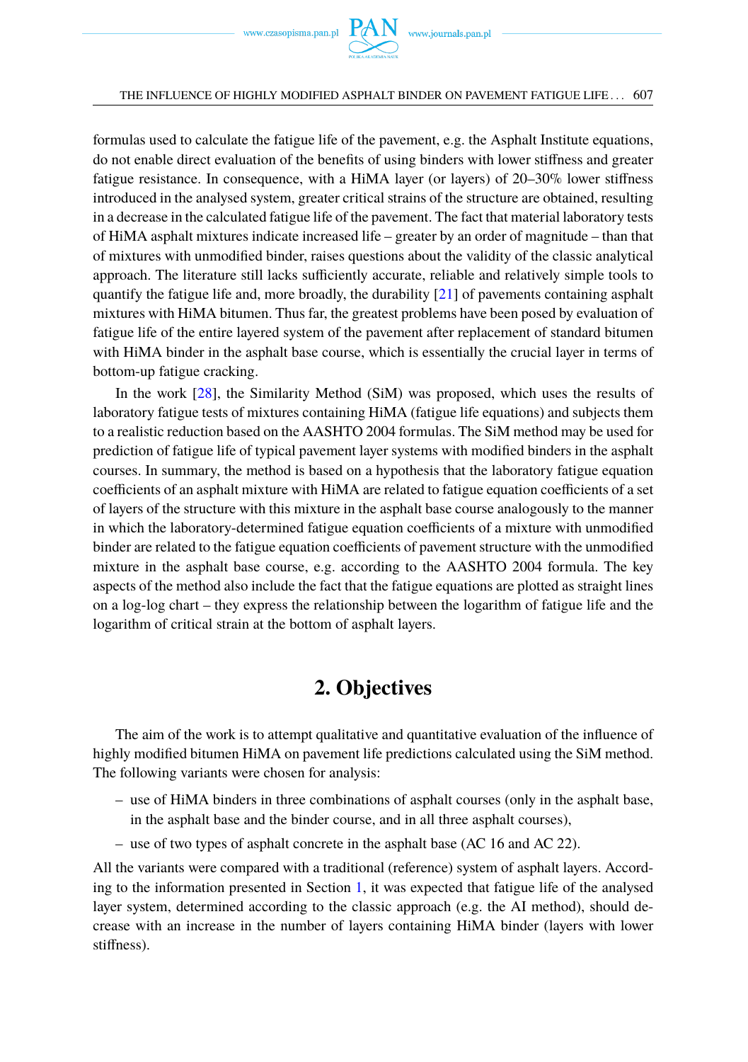formulas used to calculate the fatigue life of the pavement, e.g. the Asphalt Institute equations, do not enable direct evaluation of the benefits of using binders with lower stiffness and greater fatigue resistance. In consequence, with a HiMA layer (or layers) of 20–30% lower stiffness introduced in the analysed system, greater critical strains of the structure are obtained, resulting in a decrease in the calculated fatigue life of the pavement. The fact that material laboratory tests of HiMA asphalt mixtures indicate increased life – greater by an order of magnitude – than that of mixtures with unmodified binder, raises questions about the validity of the classic analytical approach. The literature still lacks sufficiently accurate, reliable and relatively simple tools to quantify the fatigue life and, more broadly, the durability  $[21]$  of pavements containing asphalt mixtures with HiMA bitumen. Thus far, the greatest problems have been posed by evaluation of fatigue life of the entire layered system of the pavement after replacement of standard bitumen with HiMA binder in the asphalt base course, which is essentially the crucial layer in terms of bottom-up fatigue cracking.

In the work [\[28\]](#page-18-6), the Similarity Method (SiM) was proposed, which uses the results of laboratory fatigue tests of mixtures containing HiMA (fatigue life equations) and subjects them to a realistic reduction based on the AASHTO 2004 formulas. The SiM method may be used for prediction of fatigue life of typical pavement layer systems with modified binders in the asphalt courses. In summary, the method is based on a hypothesis that the laboratory fatigue equation coefficients of an asphalt mixture with HiMA are related to fatigue equation coefficients of a set of layers of the structure with this mixture in the asphalt base course analogously to the manner in which the laboratory-determined fatigue equation coefficients of a mixture with unmodified binder are related to the fatigue equation coefficients of pavement structure with the unmodified mixture in the asphalt base course, e.g. according to the AASHTO 2004 formula. The key aspects of the method also include the fact that the fatigue equations are plotted as straight lines on a log-log chart – they express the relationship between the logarithm of fatigue life and the logarithm of critical strain at the bottom of asphalt layers.

## **2. Objectives**

<span id="page-2-0"></span>The aim of the work is to attempt qualitative and quantitative evaluation of the influence of highly modified bitumen HiMA on pavement life predictions calculated using the SiM method. The following variants were chosen for analysis:

- use of HiMA binders in three combinations of asphalt courses (only in the asphalt base, in the asphalt base and the binder course, and in all three asphalt courses),
- use of two types of asphalt concrete in the asphalt base (AC 16 and AC 22).

All the variants were compared with a traditional (reference) system of asphalt layers. According to the information presented in Section [1,](#page-1-0) it was expected that fatigue life of the analysed layer system, determined according to the classic approach (e.g. the AI method), should decrease with an increase in the number of layers containing HiMA binder (layers with lower stiffness).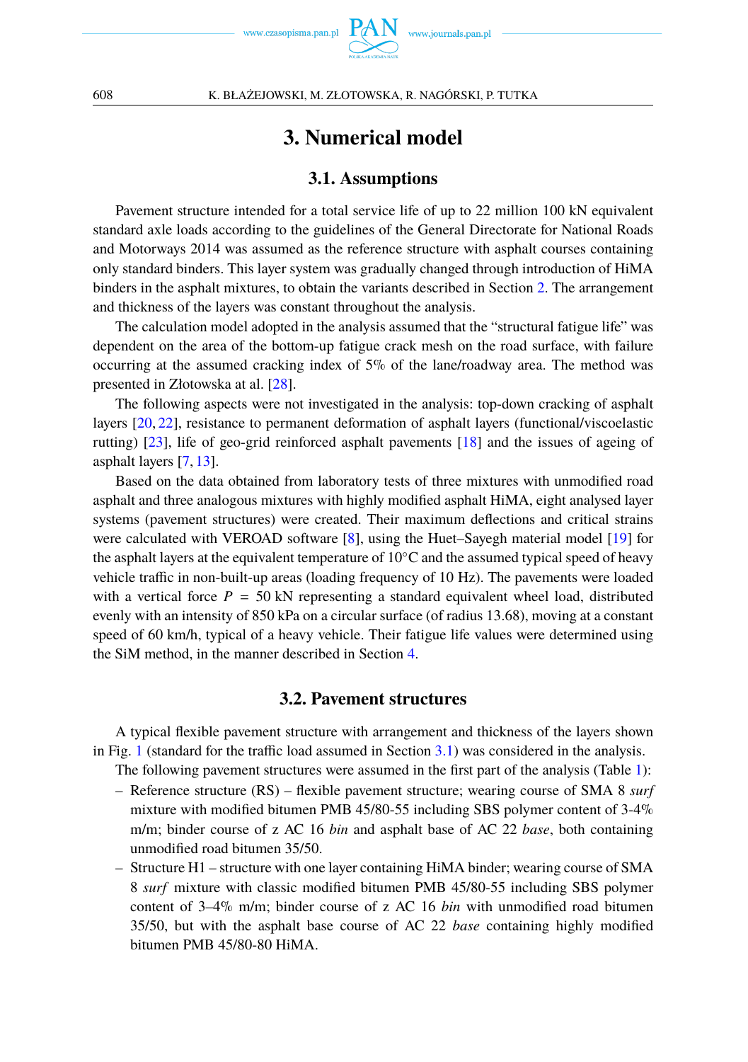

## **3. Numerical model**

### **3.1. Assumptions**

<span id="page-3-0"></span>Pavement structure intended for a total service life of up to 22 million 100 kN equivalent standard axle loads according to the guidelines of the General Directorate for National Roads and Motorways 2014 was assumed as the reference structure with asphalt courses containing only standard binders. This layer system was gradually changed through introduction of HiMA binders in the asphalt mixtures, to obtain the variants described in Section [2.](#page-2-0) The arrangement and thickness of the layers was constant throughout the analysis.

The calculation model adopted in the analysis assumed that the "structural fatigue life" was dependent on the area of the bottom-up fatigue crack mesh on the road surface, with failure occurring at the assumed cracking index of 5% of the lane/roadway area. The method was presented in Złotowska at al. [\[28\]](#page-18-6).

The following aspects were not investigated in the analysis: top-down cracking of asphalt layers [\[20,](#page-17-11) [22\]](#page-17-12), resistance to permanent deformation of asphalt layers (functional/viscoelastic rutting) [\[23\]](#page-17-13), life of geo-grid reinforced asphalt pavements [\[18\]](#page-17-14) and the issues of ageing of asphalt layers [\[7,](#page-17-15) [13\]](#page-17-16).

Based on the data obtained from laboratory tests of three mixtures with unmodified road asphalt and three analogous mixtures with highly modified asphalt HiMA, eight analysed layer systems (pavement structures) were created. Their maximum deflections and critical strains were calculated with VEROAD software [\[8\]](#page-17-17), using the Huet–Sayegh material model [\[19\]](#page-17-18) for the asphalt layers at the equivalent temperature of  $10\degree C$  and the assumed typical speed of heavy vehicle traffic in non-built-up areas (loading frequency of 10 Hz). The pavements were loaded with a vertical force  $P = 50$  kN representing a standard equivalent wheel load, distributed evenly with an intensity of 850 kPa on a circular surface (of radius 13.68), moving at a constant speed of 60 km/h, typical of a heavy vehicle. Their fatigue life values were determined using the SiM method, in the manner described in Section [4.](#page-8-0)

### **3.2. Pavement structures**

A typical flexible pavement structure with arrangement and thickness of the layers shown in Fig. [1](#page-4-0) (standard for the traffic load assumed in Section [3.1\)](#page-3-0) was considered in the analysis.

The following pavement structures were assumed in the first part of the analysis (Table [1\)](#page-5-0):

- Reference structure (RS) flexible pavement structure; wearing course of SMA 8 *surf* mixture with modified bitumen PMB 45/80-55 including SBS polymer content of 3-4% m/m; binder course of z AC 16 *bin* and asphalt base of AC 22 *base*, both containing unmodified road bitumen 35/50.
- Structure H1 structure with one layer containing HiMA binder; wearing course of SMA 8 *surf* mixture with classic modified bitumen PMB 45/80-55 including SBS polymer content of 3–4% m/m; binder course of z AC 16 *bin* with unmodified road bitumen 35/50, but with the asphalt base course of AC 22 *base* containing highly modified bitumen PMB 45/80-80 HiMA.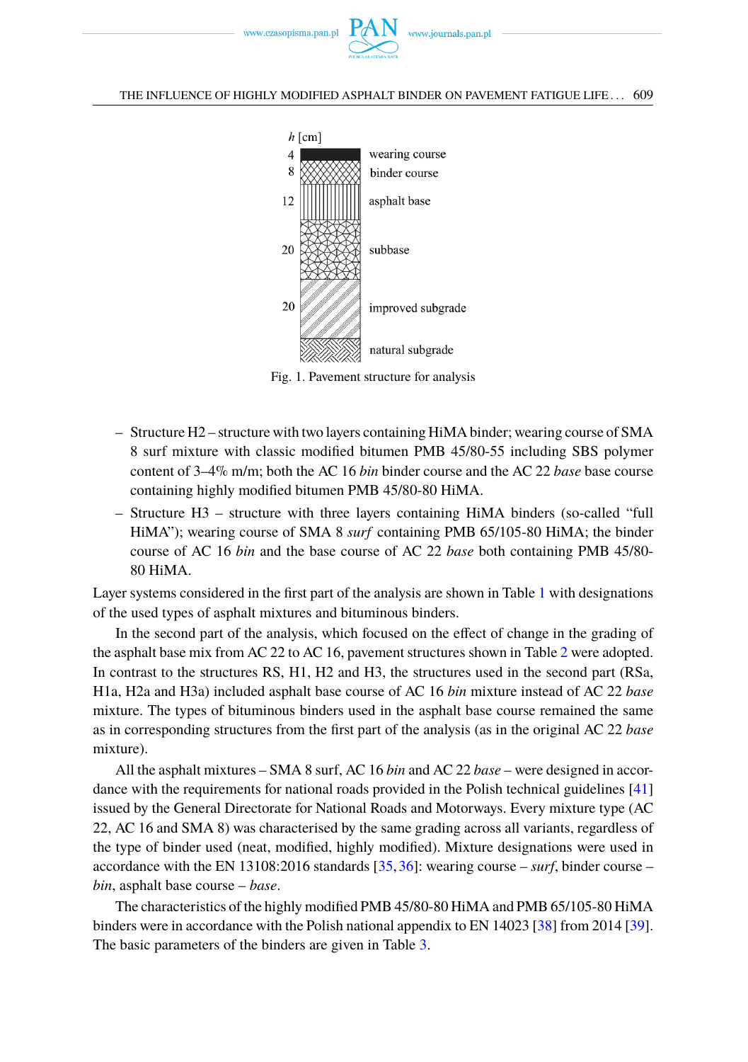<span id="page-4-0"></span>



Fig. 1. Pavement structure for analysis

- Structure H2 structure with two layers containing HiMA binder; wearing course of SMA 8 surf mixture with classic modified bitumen PMB 45/80-55 including SBS polymer content of 3–4% m/m; both the AC 16 *bin* binder course and the AC 22 *base* base course containing highly modified bitumen PMB 45/80-80 HiMA.
- Structure H3 structure with three layers containing HiMA binders (so-called "full HiMA"); wearing course of SMA 8 *surf* containing PMB 65/105-80 HiMA; the binder course of AC 16 *bin* and the base course of AC 22 *base* both containing PMB 45/80- 80 HiMA.

Layer systems considered in the first part of the analysis are shown in Table [1](#page-5-0) with designations of the used types of asphalt mixtures and bituminous binders.

In the second part of the analysis, which focused on the effect of change in the grading of the asphalt base mix from AC 22 to AC 16, pavement structures shown in Table [2](#page-5-0) were adopted. In contrast to the structures RS, H1, H2 and H3, the structures used in the second part (RSa, H1a, H2a and H3a) included asphalt base course of AC 16 *bin* mixture instead of AC 22 *base* mixture. The types of bituminous binders used in the asphalt base course remained the same as in corresponding structures from the first part of the analysis (as in the original AC 22 *base* mixture).

All the asphalt mixtures – SMA 8 surf, AC 16 *bin* and AC 22 *base* – were designed in accordance with the requirements for national roads provided in the Polish technical guidelines [\[41\]](#page-18-7) issued by the General Directorate for National Roads and Motorways. Every mixture type (AC 22, AC 16 and SMA 8) was characterised by the same grading across all variants, regardless of the type of binder used (neat, modified, highly modified). Mixture designations were used in accordance with the EN 13108:2016 standards [\[35,](#page-18-8)[36\]](#page-18-9): wearing course – *surf*, binder course – *bin*, asphalt base course – *base*.

The characteristics of the highly modified PMB 45/80-80 HiMA and PMB 65/105-80 HiMA binders were in accordance with the Polish national appendix to EN 14023 [\[38\]](#page-18-10) from 2014 [\[39\]](#page-18-11). The basic parameters of the binders are given in Table [3.](#page-6-0)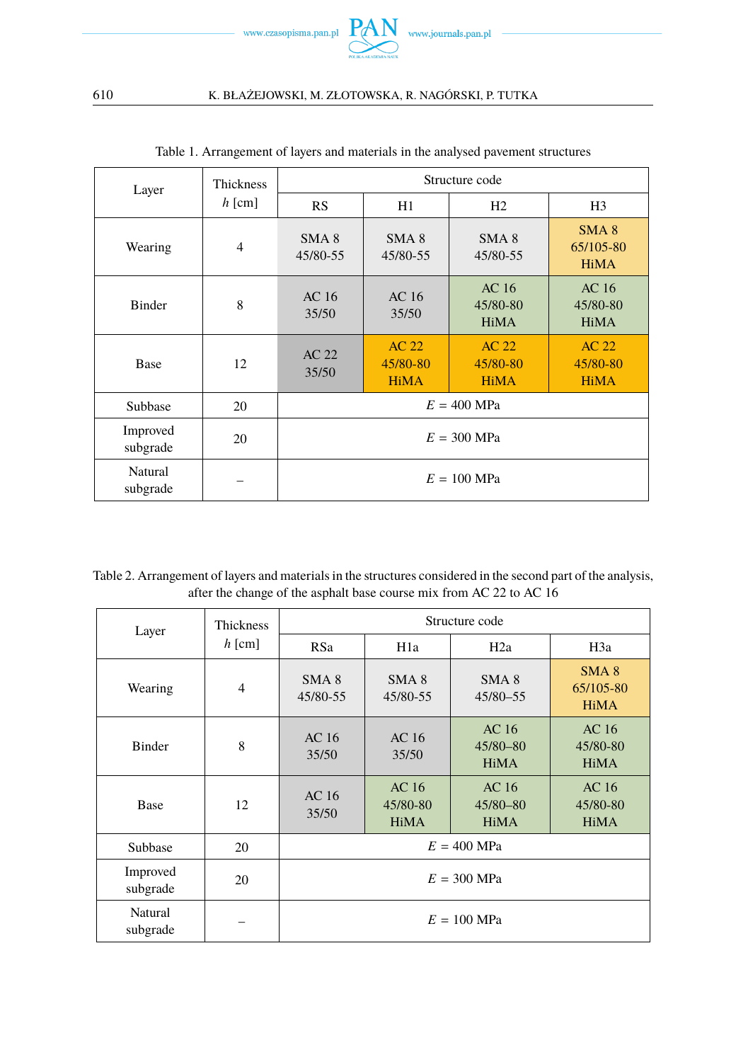

<span id="page-5-0"></span>

| Layer                | <b>Thickness</b> | Structure code               |                                  |                                  |                                              |
|----------------------|------------------|------------------------------|----------------------------------|----------------------------------|----------------------------------------------|
|                      | $h$ [cm]         | <b>RS</b>                    | H1                               | H <sub>2</sub>                   | H <sub>3</sub>                               |
| Wearing              | $\overline{4}$   | SMA <sub>8</sub><br>45/80-55 | SMA <sub>8</sub><br>45/80-55     | SMA <sub>8</sub><br>45/80-55     | SMA <sub>8</sub><br>65/105-80<br><b>HiMA</b> |
| <b>Binder</b>        | 8                | AC <sub>16</sub><br>35/50    | AC <sub>16</sub><br>35/50        | AC 16<br>45/80-80<br><b>HiMA</b> | AC 16<br>45/80-80<br><b>HiMA</b>             |
| Base                 | 12               | AC 22<br>35/50               | AC 22<br>45/80-80<br><b>HiMA</b> | AC 22<br>45/80-80<br><b>HiMA</b> | AC 22<br>45/80-80<br><b>HiMA</b>             |
| Subbase              | 20               |                              |                                  | $E = 400$ MPa                    |                                              |
| Improved<br>subgrade | 20               | $E = 300$ MPa                |                                  |                                  |                                              |
| Natural<br>subgrade  |                  | $E = 100$ MPa                |                                  |                                  |                                              |

|  |  | Table 1. Arrangement of layers and materials in the analysed pavement structures |
|--|--|----------------------------------------------------------------------------------|
|  |  |                                                                                  |

Table 2. Arrangement of layers and materials in the structures considered in the second part of the analysis, after the change of the asphalt base course mix from AC 22 to AC 16

| Layer                | <b>Thickness</b> | Structure code               |                                  |                                  |                                             |  |
|----------------------|------------------|------------------------------|----------------------------------|----------------------------------|---------------------------------------------|--|
|                      | $h$ [cm]         | <b>RSa</b>                   | H <sub>1</sub> a                 | H2a                              | H3a                                         |  |
| Wearing              | 4                | SMA <sub>8</sub><br>45/80-55 | SMA <sub>8</sub><br>45/80-55     | SMA <sub>8</sub><br>45/80-55     | SMA 8<br>65/105-80<br><b>HiMA</b>           |  |
| Binder               | 8                | AC <sub>16</sub><br>35/50    | AC <sub>16</sub><br>35/50        | AC 16<br>45/80-80<br><b>HiMA</b> | AC <sub>16</sub><br>45/80-80<br><b>HiMA</b> |  |
| <b>Base</b>          | 12               | AC 16<br>35/50               | AC 16<br>45/80-80<br><b>HiMA</b> | AC 16<br>45/80-80<br><b>HiMA</b> | AC 16<br>45/80-80<br><b>HiMA</b>            |  |
| Subbase              | 20               |                              |                                  | $E = 400$ MPa                    |                                             |  |
| Improved<br>subgrade | 20               | $E = 300$ MPa                |                                  |                                  |                                             |  |
| Natural<br>subgrade  |                  | $E = 100$ MPa                |                                  |                                  |                                             |  |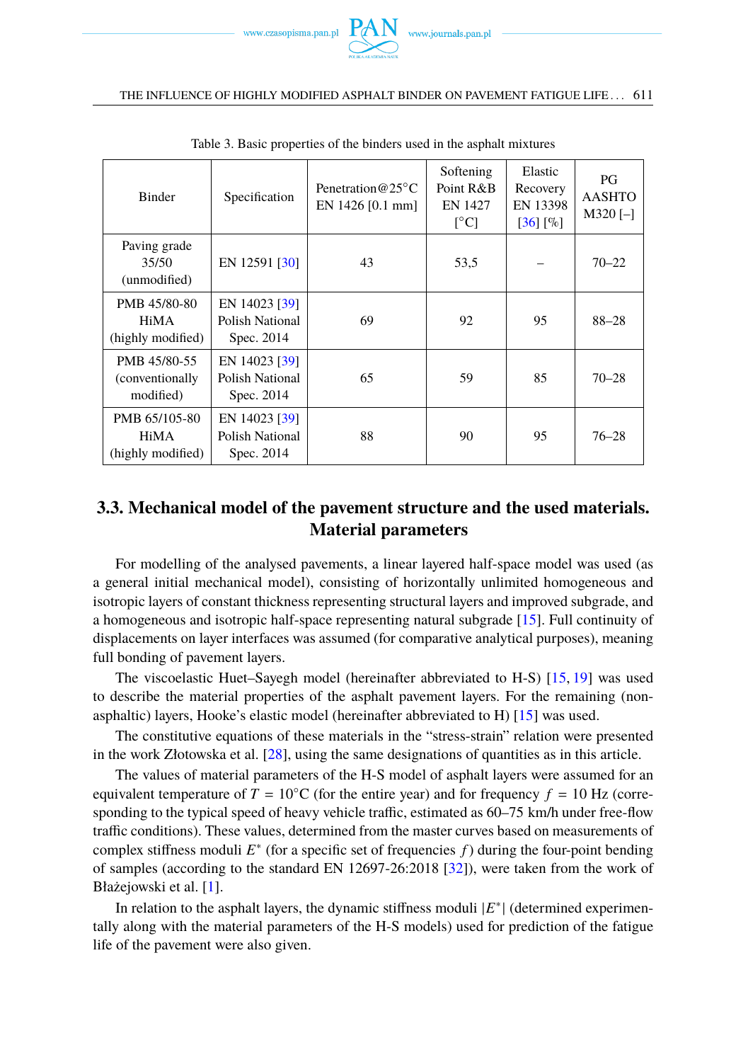

#### THE INFLUENCE OF HIGHLY MODIFIED ASPHALT BINDER ON PAVEMENT FATIGUE LIFE . . . 611

<span id="page-6-0"></span>

| <b>Binder</b>                                 | Specification                                  | Penetration $@25°C$<br>EN $1426$ [0.1 mm] | Softening<br>Point R&B<br><b>EN 1427</b><br>$\lceil$ °C] | Elastic<br>Recovery<br>EN 13398<br>$[36]$ $[\%]$ | PG<br><b>AASHTO</b><br>$M320$ [-] |
|-----------------------------------------------|------------------------------------------------|-------------------------------------------|----------------------------------------------------------|--------------------------------------------------|-----------------------------------|
| Paving grade<br>35/50<br>(unmodified)         | EN 12591 [30]                                  | 43                                        | 53,5                                                     |                                                  | $70 - 22$                         |
| PMB 45/80-80<br>HiMA<br>(highly modified)     | EN 14023 [39]<br>Polish National<br>Spec. 2014 | 69                                        | 92                                                       | 95                                               | $88 - 28$                         |
| PMB 45/80-55<br>(conventionally)<br>modified) | EN 14023 [39]<br>Polish National<br>Spec. 2014 | 65                                        | 59                                                       | 85                                               | $70 - 28$                         |
| PMB 65/105-80<br>HiMA<br>(highly modified)    | EN 14023 [39]<br>Polish National<br>Spec. 2014 | 88                                        | 90                                                       | 95                                               | $76 - 28$                         |

Table 3. Basic properties of the binders used in the asphalt mixtures

## **3.3. Mechanical model of the pavement structure and the used materials. Material parameters**

For modelling of the analysed pavements, a linear layered half-space model was used (as a general initial mechanical model), consisting of horizontally unlimited homogeneous and isotropic layers of constant thickness representing structural layers and improved subgrade, and a homogeneous and isotropic half-space representing natural subgrade [\[15\]](#page-17-19). Full continuity of displacements on layer interfaces was assumed (for comparative analytical purposes), meaning full bonding of pavement layers.

The viscoelastic Huet–Sayegh model (hereinafter abbreviated to H-S) [\[15,](#page-17-19) [19\]](#page-17-18) was used to describe the material properties of the asphalt pavement layers. For the remaining (nonasphaltic) layers, Hooke's elastic model (hereinafter abbreviated to H) [\[15\]](#page-17-19) was used.

The constitutive equations of these materials in the "stress-strain" relation were presented in the work Złotowska et al. [\[28\]](#page-18-6), using the same designations of quantities as in this article.

The values of material parameters of the H-S model of asphalt layers were assumed for an equivalent temperature of  $T = 10\degree C$  (for the entire year) and for frequency  $f = 10$  Hz (corresponding to the typical speed of heavy vehicle traffic, estimated as 60–75 km/h under free-flow traffic conditions). These values, determined from the master curves based on measurements of complex stiffness moduli *E* ∗ (for a specific set of frequencies *f* ) during the four-point bending of samples (according to the standard EN 12697-26:2018 [\[32\]](#page-18-13)), were taken from the work of Błażejowski et al. [\[1\]](#page-17-8).

In relation to the asphalt layers, the dynamic stiffness moduli  $|E^*|$  (determined experimentally along with the material parameters of the H-S models) used for prediction of the fatigue life of the pavement were also given.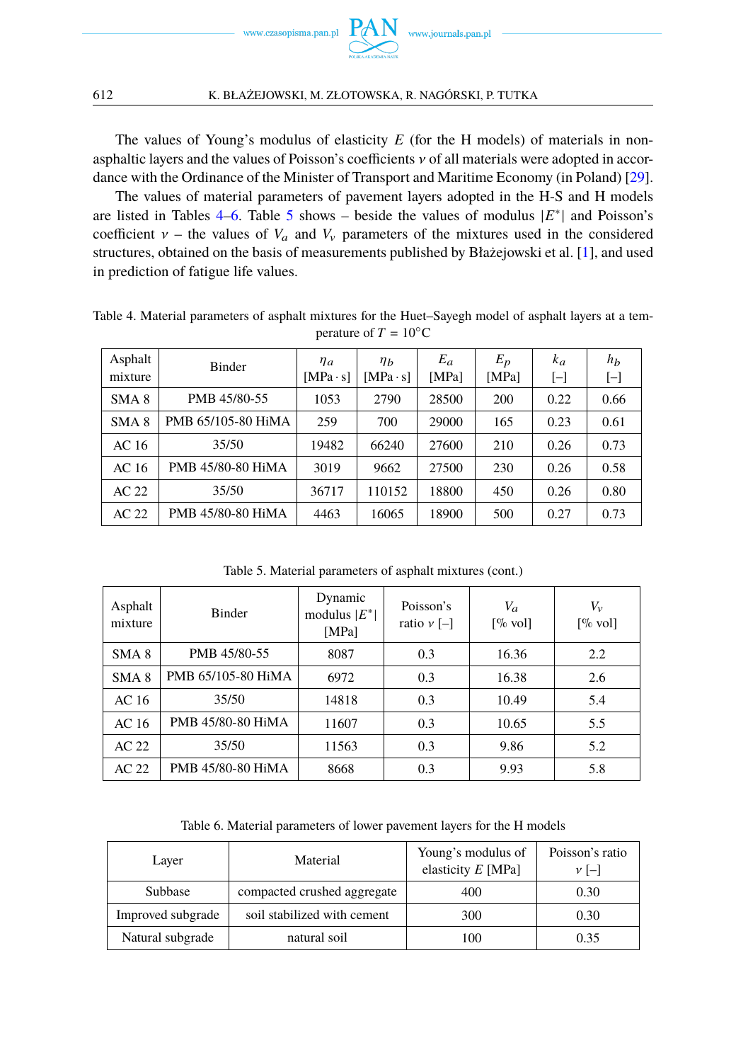

The values of Young's modulus of elasticity *E* (for the H models) of materials in nonasphaltic layers and the values of Poisson's coefficients  $\nu$  of all materials were adopted in accordance with the Ordinance of the Minister of Transport and Maritime Economy (in Poland) [\[29\]](#page-18-14).

The values of material parameters of pavement layers adopted in the H-S and H models are listed in Tables [4–6.](#page-7-0) Table [5](#page-7-0) shows – beside the values of modulus  $|E^*|$  and Poisson's coefficient  $v$  – the values of  $V_a$  and  $V_v$  parameters of the mixtures used in the considered structures, obtained on the basis of measurements published by Błażejowski et al. [\[1\]](#page-17-8), and used in prediction of fatigue life values.

| Asphalt<br>mixture | Binder             | $\eta_a$<br>$[MPa \cdot s]$ | $\eta_b$<br>$[MPa \cdot s]$ | $E_a$<br>[MPa] | $E_p$<br>[MPa] | $k_a$<br>$\mathsf{L}$ | $h_b$<br>$[\mathord{\text{--}}]$ |
|--------------------|--------------------|-----------------------------|-----------------------------|----------------|----------------|-----------------------|----------------------------------|
| SMA <sub>8</sub>   | PMB 45/80-55       | 1053                        | 2790                        | 28500          | 200            | 0.22                  | 0.66                             |
| SMA <sub>8</sub>   | PMB 65/105-80 HiMA | 259                         | 700                         | 29000          | 165            | 0.23                  | 0.61                             |
| AC 16              | 35/50              | 19482                       | 66240                       | 27600          | 210            | 0.26                  | 0.73                             |
| AC 16              | PMB 45/80-80 HiMA  | 3019                        | 9662                        | 27500          | 230            | 0.26                  | 0.58                             |
| AC <sub>22</sub>   | 35/50              | 36717                       | 110152                      | 18800          | 450            | 0.26                  | 0.80                             |
| AC <sub>22</sub>   | PMB 45/80-80 HiMA  | 4463                        | 16065                       | 18900          | 500            | 0.27                  | 0.73                             |

<span id="page-7-0"></span>Table 4. Material parameters of asphalt mixtures for the Huet–Sayegh model of asphalt layers at a temperature of  $T = 10^{\circ}$ C

Table 5. Material parameters of asphalt mixtures (cont.)

| Asphalt<br>mixture | <b>Binder</b>      | Dynamic<br>modulus $ E^* $<br>[MPa] | Poisson's<br>ratio $\nu$ [-] | $V_a$<br>$\lceil\% \text{ vol}\rceil$ | $V_{\nu}$<br>$\lceil\% \text{ vol}\rceil$ |
|--------------------|--------------------|-------------------------------------|------------------------------|---------------------------------------|-------------------------------------------|
| SMA <sub>8</sub>   | PMB 45/80-55       | 8087                                | 0.3                          | 16.36                                 | 2.2                                       |
| SMA <sub>8</sub>   | PMB 65/105-80 HiMA | 6972                                | 0.3                          | 16.38                                 | 2.6                                       |
| AC 16              | 35/50              | 14818                               | 0.3                          | 10.49                                 | 5.4                                       |
| AC 16              | PMB 45/80-80 HiMA  | 11607                               | 0.3                          | 10.65                                 | 5.5                                       |
| AC 22              | 35/50              | 11563                               | 0.3                          | 9.86                                  | 5.2                                       |
| AC 22              | PMB 45/80-80 HiMA  | 8668                                | 0.3                          | 9.93                                  | 5.8                                       |

Table 6. Material parameters of lower pavement layers for the H models

| Layer             | Material                    | Young's modulus of<br>elasticity $E$ [MPa] | Poisson's ratio<br>$\nu$ [-] |
|-------------------|-----------------------------|--------------------------------------------|------------------------------|
| Subbase           | compacted crushed aggregate | 400                                        | 0.30                         |
| Improved subgrade | soil stabilized with cement | 300                                        | 0.30                         |
| Natural subgrade  | natural soil                | 100                                        | 0.35                         |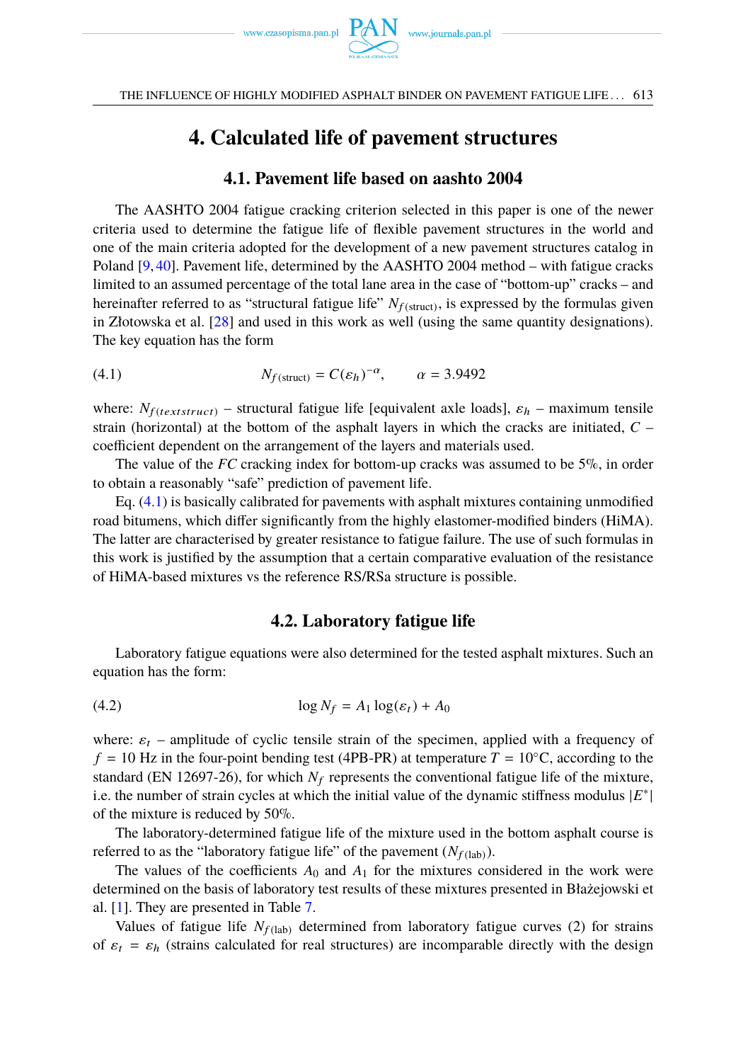

## **4. Calculated life of pavement structures**

### **4.1. Pavement life based on aashto 2004**

<span id="page-8-0"></span>The AASHTO 2004 fatigue cracking criterion selected in this paper is one of the newer criteria used to determine the fatigue life of flexible pavement structures in the world and one of the main criteria adopted for the development of a new pavement structures catalog in Poland [\[9,](#page-17-20) [40\]](#page-18-15). Pavement life, determined by the AASHTO 2004 method – with fatigue cracks limited to an assumed percentage of the total lane area in the case of "bottom-up" cracks – and hereinafter referred to as "structural fatigue life"  $N_{f(\text{struct})}$ , is expressed by the formulas given in Złotowska et al. [\[28\]](#page-18-6) and used in this work as well (using the same quantity designations). The key equation has the form

<span id="page-8-1"></span>(4.1) 
$$
N_{f(\text{struct})} = C(\varepsilon_h)^{-\alpha}, \qquad \alpha = 3.9492
$$

where:  $N_{f(textstruct)}$  – structural fatigue life [equivalent axle loads],  $\varepsilon_h$  – maximum tensile strain (horizontal) at the bottom of the asphalt layers in which the cracks are initiated, *C* – coefficient dependent on the arrangement of the layers and materials used.

The value of the *FC* cracking index for bottom-up cracks was assumed to be 5%, in order to obtain a reasonably "safe" prediction of pavement life.

Eq. [\(4.1\)](#page-8-1) is basically calibrated for pavements with asphalt mixtures containing unmodified road bitumens, which differ significantly from the highly elastomer-modified binders (HiMA). The latter are characterised by greater resistance to fatigue failure. The use of such formulas in this work is justified by the assumption that a certain comparative evaluation of the resistance of HiMA-based mixtures vs the reference RS/RSa structure is possible.

### <span id="page-8-2"></span>**4.2. Laboratory fatigue life**

Laboratory fatigue equations were also determined for the tested asphalt mixtures. Such an equation has the form:

$$
(4.2) \t\t \log N_f = A_1 \log(\varepsilon_t) + A_0
$$

where:  $\varepsilon_t$  – amplitude of cyclic tensile strain of the specimen, applied with a frequency of  $f = 10$  Hz in the four-point bending test (4PB-PR) at temperature  $T = 10<sup>°</sup>C, according to the$ standard (EN 12697-26), for which  $N_f$  represents the conventional fatigue life of the mixture, i.e. the number of strain cycles at which the initial value of the dynamic stiffness modulus |*E* ∗ | of the mixture is reduced by 50%.

The laboratory-determined fatigue life of the mixture used in the bottom asphalt course is referred to as the "laboratory fatigue life" of the pavement  $(N_{f (lab)})$ .

The values of the coefficients  $A_0$  and  $A_1$  for the mixtures considered in the work were determined on the basis of laboratory test results of these mixtures presented in Błażejowski et al. [\[1\]](#page-17-8). They are presented in Table [7.](#page-9-0)

Values of fatigue life  $N_{f(lab)}$  determined from laboratory fatigue curves (2) for strains of  $\varepsilon_t = \varepsilon_h$  (strains calculated for real structures) are incomparable directly with the design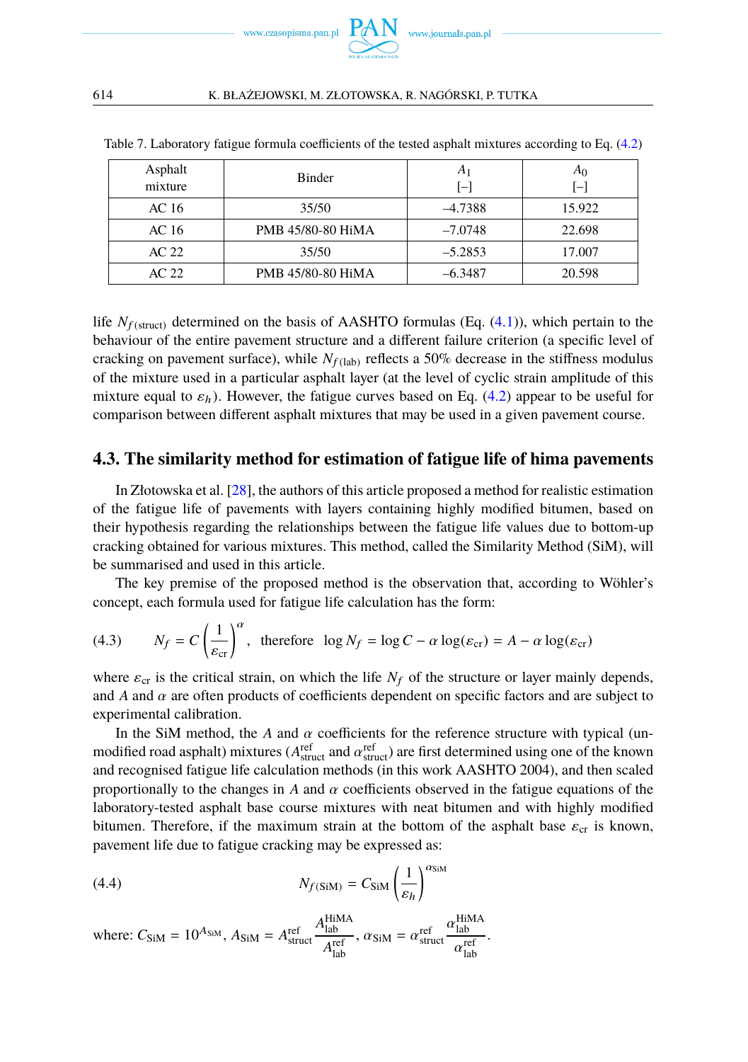

| Asphalt<br>mixture | <b>Binder</b>     | A1<br>[-] | A <sub>0</sub><br>$[-]$ |
|--------------------|-------------------|-----------|-------------------------|
| AC 16              | 35/50             | $-4.7388$ | 15.922                  |
| AC 16              | PMB 45/80-80 HiMA | $-7.0748$ | 22.698                  |
| AC 22              | 35/50             | $-5.2853$ | 17.007                  |
| AC <sub>22</sub>   | PMB 45/80-80 HiMA | $-6.3487$ | 20.598                  |

<span id="page-9-0"></span>Table 7. Laboratory fatigue formula coefficients of the tested asphalt mixtures according to Eq. [\(4.2\)](#page-8-2)

life  $N_{f(\text{struct})}$  determined on the basis of AASHTO formulas (Eq. [\(4.1\)](#page-8-1)), which pertain to the behaviour of the entire pavement structure and a different failure criterion (a specific level of cracking on pavement surface), while  $N_{f (lab)}$  reflects a 50% decrease in the stiffness modulus of the mixture used in a particular asphalt layer (at the level of cyclic strain amplitude of this mixture equal to  $\varepsilon_h$ ). However, the fatigue curves based on Eq. [\(4.2\)](#page-8-2) appear to be useful for comparison between different asphalt mixtures that may be used in a given pavement course.

### **4.3. The similarity method for estimation of fatigue life of hima pavements**

In Złotowska et al. [\[28\]](#page-18-6), the authors of this article proposed a method for realistic estimation of the fatigue life of pavements with layers containing highly modified bitumen, based on their hypothesis regarding the relationships between the fatigue life values due to bottom-up cracking obtained for various mixtures. This method, called the Similarity Method (SiM), will be summarised and used in this article.

The key premise of the proposed method is the observation that, according to Wöhler's concept, each formula used for fatigue life calculation has the form:

<span id="page-9-1"></span>(4.3) 
$$
N_f = C \left(\frac{1}{\varepsilon_{cr}}\right)^{\alpha}
$$
, therefore  $\log N_f = \log C - \alpha \log(\varepsilon_{cr}) = A - \alpha \log(\varepsilon_{cr})$ 

where  $\varepsilon_{cr}$  is the critical strain, on which the life  $N_f$  of the structure or layer mainly depends, and *A* and  $\alpha$  are often products of coefficients dependent on specific factors and are subject to experimental calibration.

In the SiM method, the *A* and  $\alpha$  coefficients for the reference structure with typical (un-<br>modified road asphalt) mixtures (*A*<sup>ref</sup>uct and  $\alpha$ <sup>refu</sup>ct) are first determined using one of the known<br>and recognised fati and recognised fatigue life calculation methods (in this work AASHTO 2004), and then scaled proportionally to the changes in *<sup>A</sup>* and α coefficients observed in the fatigue equations of the laboratory-tested asphalt base course mixtures with neat bitumen and with highly modified bitumen. Therefore, if the maximum strain at the bottom of the asphalt base  $\varepsilon_{cr}$  is known, pavement life due to fatigue cracking may be expressed as:

(4.4) 
$$
N_{f(SiM)} = C_{SiM} \left(\frac{1}{\varepsilon_h}\right)^{\alpha_{SiM}}
$$

where: 
$$
C_{\text{SiM}} = 10^{A_{\text{SiM}}}
$$
,  $A_{\text{SiM}} = A_{\text{struct}}^{\text{ref}} \frac{A_{\text{lab}}^{\text{HiMA}}}{A_{\text{lab}}^{\text{ref}}}$ ,  $\alpha_{\text{SiM}} = \alpha_{\text{struct}}^{\text{ref}} \frac{\alpha_{\text{lab}}^{\text{HiMA}}}{\alpha_{\text{lab}}^{\text{ref}}}$ .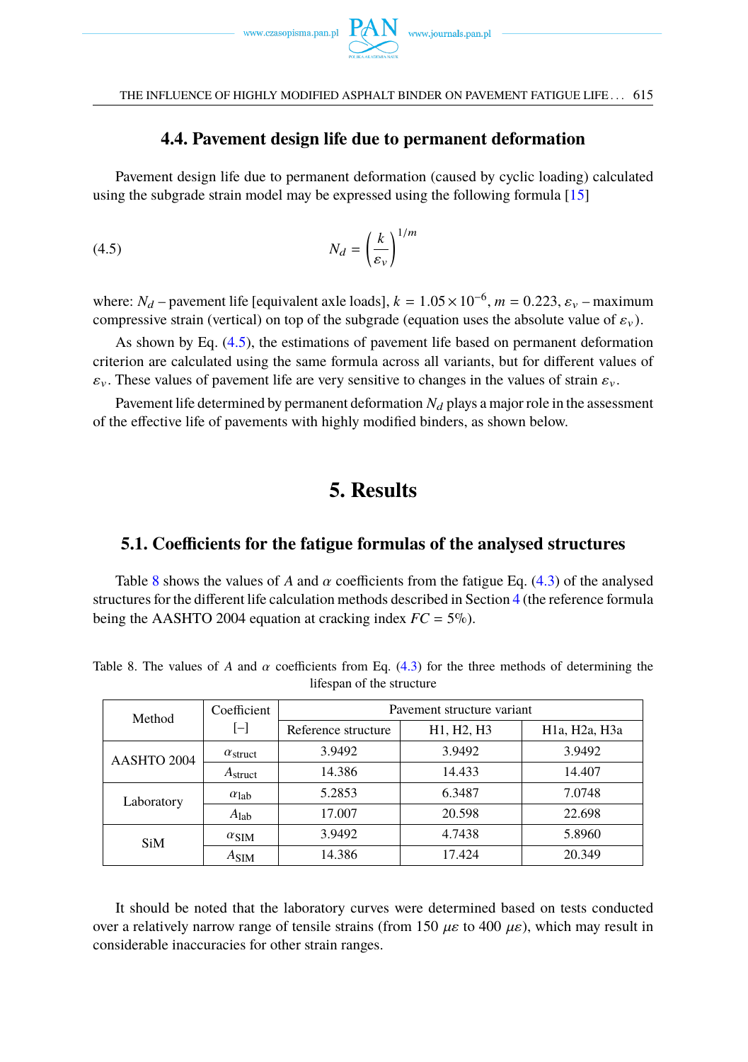

### <span id="page-10-0"></span>**4.4. Pavement design life due to permanent deformation**

Pavement design life due to permanent deformation (caused by cyclic loading) calculated using the subgrade strain model may be expressed using the following formula [\[15\]](#page-17-19)

$$
(4.5) \t\t N_d = \left(\frac{k}{\varepsilon_v}\right)^{1/m}
$$

where:  $N_d$  – pavement life [equivalent axle loads],  $k = 1.05 \times 10^{-6}$ ,  $m = 0.223$ ,  $\varepsilon_v$  – maximum<br>compressive strain (vertical) on top of the subgrade (equation uses the absolute value of  $\varepsilon$ ) compressive strain (vertical) on top of the subgrade (equation uses the absolute value of  $\varepsilon_{\nu}$ ).

As shown by Eq. [\(4.5\)](#page-10-0), the estimations of pavement life based on permanent deformation criterion are calculated using the same formula across all variants, but for different values of  $\varepsilon_v$ . These values of pavement life are very sensitive to changes in the values of strain  $\varepsilon_v$ .

Pavement life determined by permanent deformation  $N_d$  plays a major role in the assessment of the effective life of pavements with highly modified binders, as shown below.

## **5. Results**

### **5.1. Coefficients for the fatigue formulas of the analysed structures**

Table [8](#page-10-1) shows the values of *A* and  $\alpha$  coefficients from the fatigue Eq. [\(4.3\)](#page-9-1) of the analysed structures for the different life calculation methods described in Section [4](#page-8-0) (the reference formula being the AASHTO 2004 equation at cracking index  $FC = 5\%$ ).

| Method              | Coefficient        | Pavement structure variant |            |                                                      |  |
|---------------------|--------------------|----------------------------|------------|------------------------------------------------------|--|
|                     | $[-]$              | Reference structure        | H1, H2, H3 | H <sub>1</sub> a, H <sub>2</sub> a, H <sub>3</sub> a |  |
| AASHTO 2004         | $\alpha$ struct    | 3.9492                     | 3.9492     | 3.9492                                               |  |
| A <sub>struct</sub> |                    | 14.386                     | 14.433     | 14.407                                               |  |
| Laboratory          | $\alpha_{\rm lab}$ | 5.2853                     | 6.3487     | 7.0748                                               |  |
|                     | $A_{lab}$          | 17.007                     | 20.598     | 22.698                                               |  |
| <b>SiM</b>          | $\alpha$ SIM       | 3.9492                     | 4.7438     | 5.8960                                               |  |
|                     | $A_{SIM}$          | 14.386                     | 17.424     | 20.349                                               |  |

<span id="page-10-1"></span>Table 8. The values of *A* and  $\alpha$  coefficients from Eq. [\(4.3\)](#page-9-1) for the three methods of determining the lifespan of the structure

It should be noted that the laboratory curves were determined based on tests conducted over a relatively narrow range of tensile strains (from 150  $\mu \varepsilon$  to 400  $\mu \varepsilon$ ), which may result in considerable inaccuracies for other strain ranges.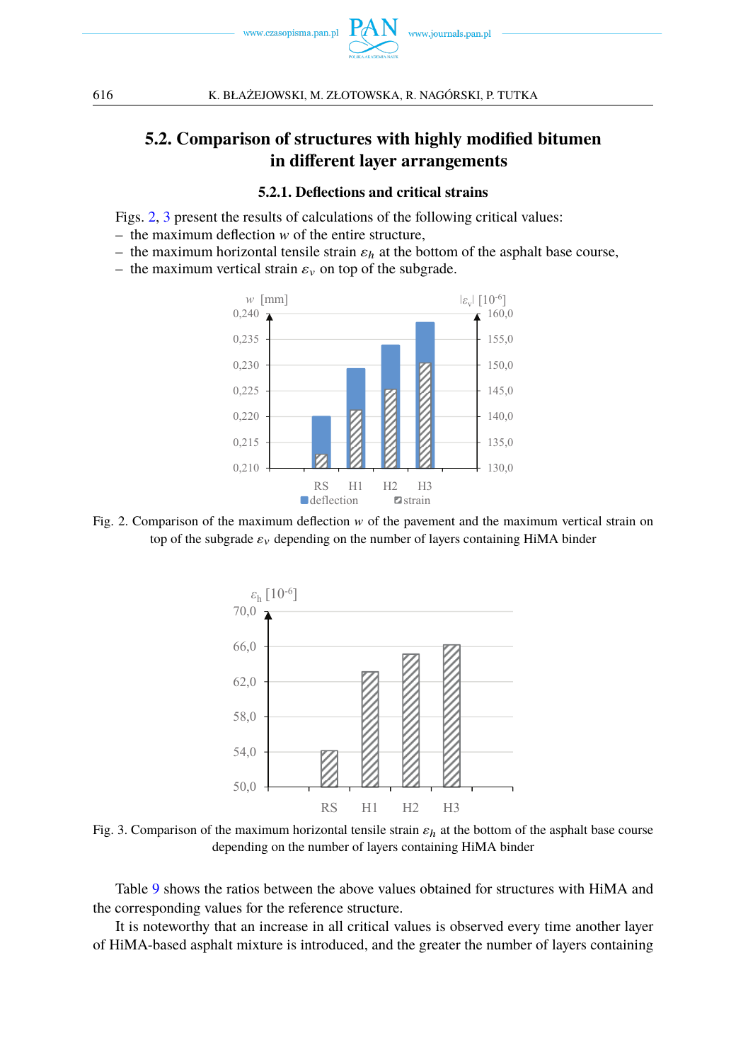

## **5.2. Comparison of structures with highly modified bitumen in different layer arrangements**

#### **5.2.1. Deflections and critical strains**

Figs. [2,](#page-11-0) [3](#page-11-1) present the results of calculations of the following critical values:

- $-$  the maximum deflection  $w$  of the entire structure,
- the maximum horizontal tensile strain  $\varepsilon_h$  at the bottom of the asphalt base course,
- <span id="page-11-0"></span>– the maximum vertical strain  $\varepsilon_v$  on top of the subgrade.



<span id="page-11-1"></span>Fig. 2. Comparison of the maximum deflection  $w$  of the pavement and the maximum vertical strain on top of the subgrade  $\varepsilon_v$  depending on the number of layers containing HiMA binder



Fig. 3. Comparison of the maximum horizontal tensile strain  $\varepsilon_h$  at the bottom of the asphalt base course depending on the number of layers containing HiMA binder

Table [9](#page-12-0) shows the ratios between the above values obtained for structures with HiMA and the corresponding values for the reference structure.

It is noteworthy that an increase in all critical values is observed every time another layer of HiMA-based asphalt mixture is introduced, and the greater the number of layers containing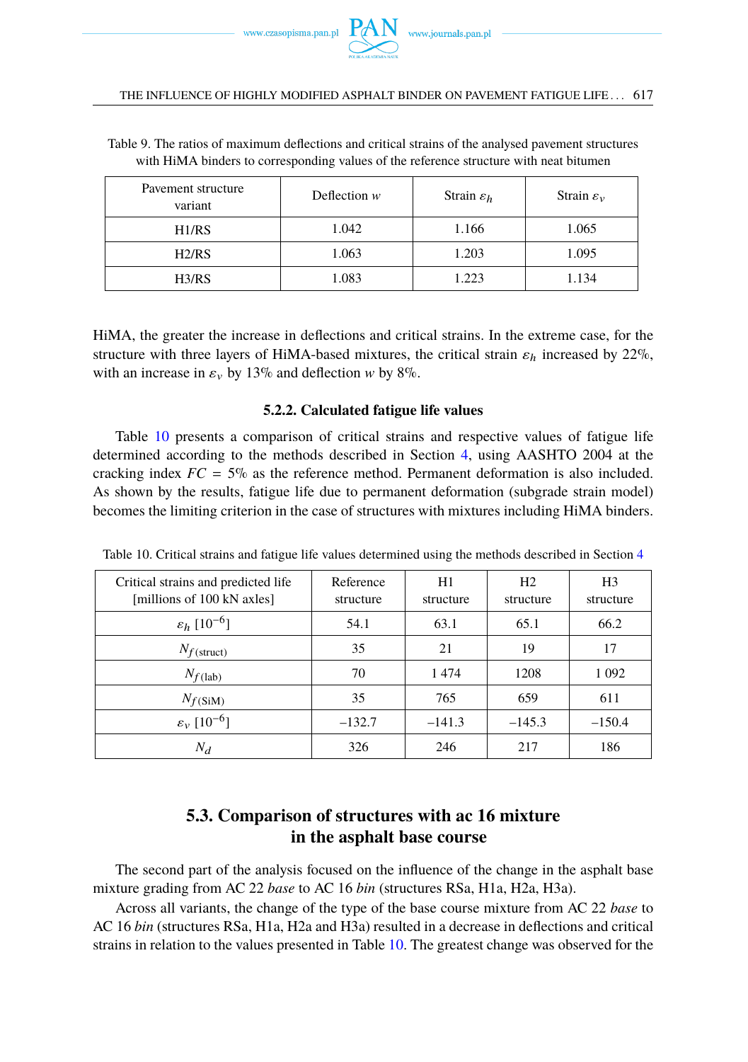

#### THE INFLUENCE OF HIGHLY MODIFIED ASPHALT BINDER ON PAVEMENT FATIGUE LIFE . . . 617

| Pavement structure<br>variant | Deflection $w$ | Strain $\varepsilon_h$ | Strain $\varepsilon_v$ |
|-------------------------------|----------------|------------------------|------------------------|
| H1/RS                         | 1.042          | 1.166                  | 1.065                  |
| H2/RS                         | 1.063          | 1.203                  | 1.095                  |
| H3/RS                         | 1.083          | 1.223                  | 1.134                  |

<span id="page-12-0"></span>Table 9. The ratios of maximum deflections and critical strains of the analysed pavement structures with HiMA binders to corresponding values of the reference structure with neat bitumen

HiMA, the greater the increase in deflections and critical strains. In the extreme case, for the structure with three layers of HiMA-based mixtures, the critical strain  $\varepsilon_h$  increased by 22%, with an increase in  $\varepsilon_v$  by 13% and deflection w by 8%.

### **5.2.2. Calculated fatigue life values**

Table [10](#page-12-1) presents a comparison of critical strains and respective values of fatigue life determined according to the methods described in Section [4,](#page-8-0) using AASHTO 2004 at the cracking index  $FC = 5\%$  as the reference method. Permanent deformation is also included. As shown by the results, fatigue life due to permanent deformation (subgrade strain model) becomes the limiting criterion in the case of structures with mixtures including HiMA binders.

| Critical strains and predicted life<br>[millions of 100 kN axles] | Reference<br>structure | H1<br>structure | H <sub>2</sub><br>structure | H3<br>structure |
|-------------------------------------------------------------------|------------------------|-----------------|-----------------------------|-----------------|
| $\varepsilon_h$ [10 <sup>-6</sup> ]                               | 54.1                   | 63.1            | 65.1                        | 66.2            |
| $N_{f(\text{struct})}$                                            | 35                     | 21              | 19                          | 17              |
| $N_{f(lab)}$                                                      | 70                     | 1474            | 1208                        | 1 0 9 2         |
| $N_{f(SiM)}$                                                      | 35                     | 765             | 659                         | 611             |
| $\varepsilon_v$ [10 <sup>-6</sup> ]                               | $-132.7$               | $-141.3$        | $-145.3$                    | $-150.4$        |
| $N_d$                                                             | 326                    | 246             | 217                         | 186             |

<span id="page-12-1"></span>Table 10. Critical strains and fatigue life values determined using the methods described in Section [4](#page-8-0)

## **5.3. Comparison of structures with ac 16 mixture in the asphalt base course**

The second part of the analysis focused on the influence of the change in the asphalt base mixture grading from AC 22 *base* to AC 16 *bin* (structures RSa, H1a, H2a, H3a).

Across all variants, the change of the type of the base course mixture from AC 22 *base* to AC 16 *bin* (structures RSa, H1a, H2a and H3a) resulted in a decrease in deflections and critical strains in relation to the values presented in Table [10.](#page-12-1) The greatest change was observed for the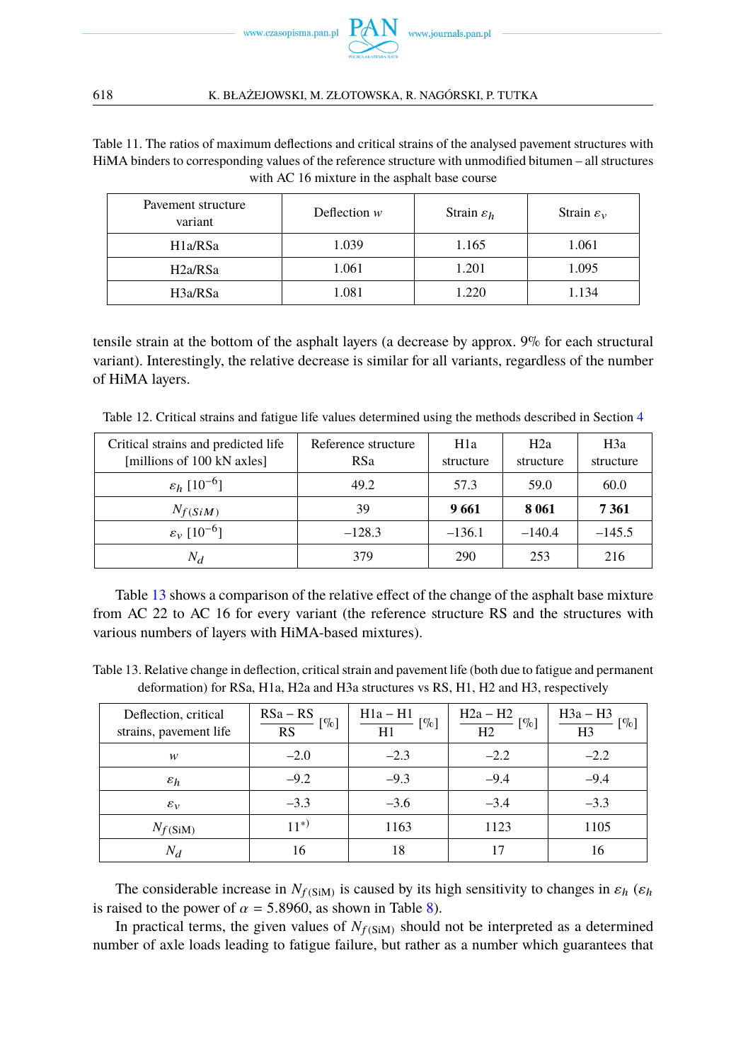

Table 11. The ratios of maximum deflections and critical strains of the analysed pavement structures with HiMA binders to corresponding values of the reference structure with unmodified bitumen – all structures with AC 16 mixture in the asphalt base course

| Pavement structure<br>variant | Deflection $w$ | Strain $\varepsilon_h$ | Strain $\varepsilon_v$ |
|-------------------------------|----------------|------------------------|------------------------|
| H <sub>1</sub> a/RSa          | 1.039          | 1.165                  | 1.061                  |
| H2a/RSa                       | 1.061          | 1.201                  | 1.095                  |
| H3a/RSa                       | 1.081          | 1.220                  | 1.134                  |

tensile strain at the bottom of the asphalt layers (a decrease by approx. 9% for each structural variant). Interestingly, the relative decrease is similar for all variants, regardless of the number of HiMA layers.

Table 12. Critical strains and fatigue life values determined using the methods described in Section [4](#page-8-0)

| Critical strains and predicted life<br>[millions of 100 kN axles] | Reference structure<br>RSa | H1a<br>structure | H <sub>2</sub> a<br>structure | H3a<br>structure |
|-------------------------------------------------------------------|----------------------------|------------------|-------------------------------|------------------|
| $\varepsilon_h$ [10 <sup>-6</sup> ]                               | 49.2                       | 57.3             | 60.0<br>59.0                  |                  |
| $N_{f(SiM)}$                                                      | 39                         | 9661             | 8 0 6 1                       | 7 3 6 1          |
| $\varepsilon_v$ [10 <sup>-6</sup> ]                               | $-128.3$                   | $-136.1$         | $-140.4$                      | $-145.5$         |
| $N_d$                                                             | 379                        | 290              | 253                           | 216              |

Table [13](#page-13-0) shows a comparison of the relative effect of the change of the asphalt base mixture from AC 22 to AC 16 for every variant (the reference structure RS and the structures with various numbers of layers with HiMA-based mixtures).

<span id="page-13-0"></span>Table 13. Relative change in deflection, critical strain and pavement life (both due to fatigue and permanent deformation) for RSa, H1a, H2a and H3a structures vs RS, H1, H2 and H3, respectively

| Deflection, critical<br>strains, pavement life | $RSa - RS$<br>[%]<br>RS | $H1a - H1$<br>$[\%]$<br>H1 | $H2a - H2$<br>$[\%]$<br>H2 | $H3a - H3$<br>$\left[\% \right]$<br>H3 |
|------------------------------------------------|-------------------------|----------------------------|----------------------------|----------------------------------------|
| w                                              | $-2.0$                  | $-2.3$                     | $-2.2$                     | $-2.2$                                 |
| $\varepsilon_h$                                | $-9.2$                  | $-9.3$                     | $-9.4$                     | $-9.4$                                 |
| $\varepsilon_v$                                | $-3.3$                  | $-3.6$                     | $-3.4$                     | $-3.3$                                 |
| $N_{f(SiM)}$                                   | $11^{*}$                | 1163                       | 1123                       | 1105                                   |
| $N_d$                                          | 16                      | 18                         | 17                         | 16                                     |

The considerable increase in  $N_{f(SiM)}$  is caused by its high sensitivity to changes in  $\varepsilon_h$  ( $\varepsilon_h$ ) is raised to the power of  $\alpha = 5.8960$ , as shown in Table [8\)](#page-10-1).

In practical terms, the given values of  $N_f$ (SiM) should not be interpreted as a determined number of axle loads leading to fatigue failure, but rather as a number which guarantees that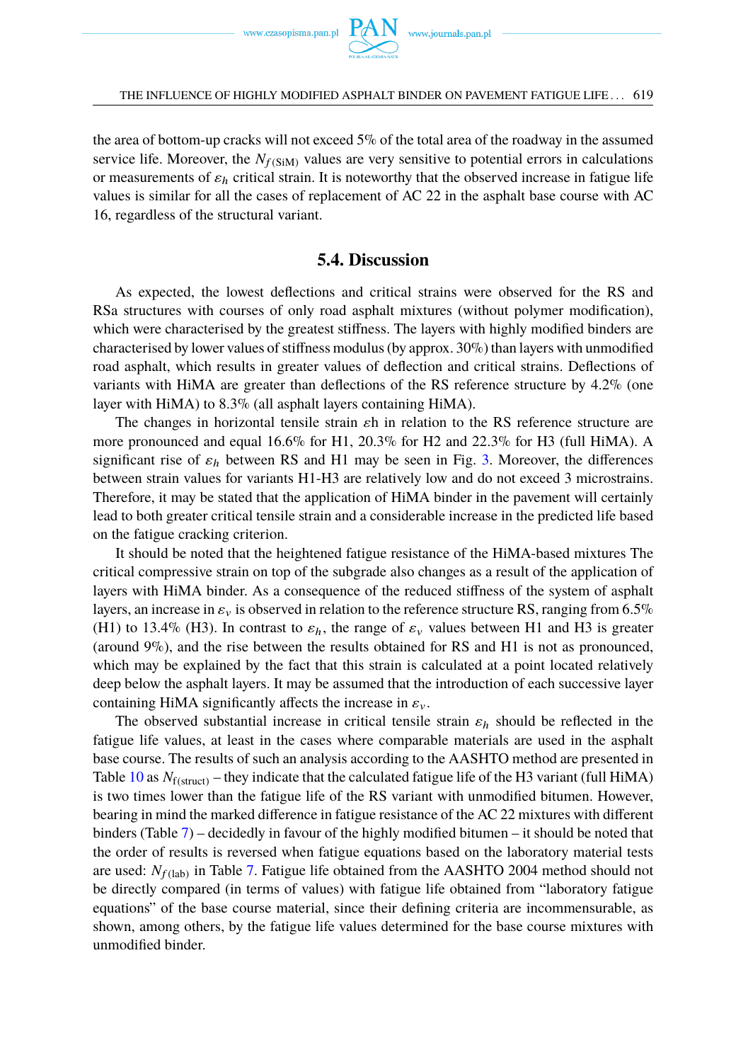

the area of bottom-up cracks will not exceed 5% of the total area of the roadway in the assumed service life. Moreover, the  $N_{f(SiM)}$  values are very sensitive to potential errors in calculations or measurements of  $\varepsilon_h$  critical strain. It is noteworthy that the observed increase in fatigue life values is similar for all the cases of replacement of AC 22 in the asphalt base course with AC 16, regardless of the structural variant.

### **5.4. Discussion**

As expected, the lowest deflections and critical strains were observed for the RS and RSa structures with courses of only road asphalt mixtures (without polymer modification), which were characterised by the greatest stiffness. The layers with highly modified binders are characterised by lower values of stiffness modulus (by approx. 30%) than layers with unmodified road asphalt, which results in greater values of deflection and critical strains. Deflections of variants with HiMA are greater than deflections of the RS reference structure by 4.2% (one layer with HiMA) to 8.3% (all asphalt layers containing HiMA).

The changes in horizontal tensile strain  $\varepsilon$ h in relation to the RS reference structure are more pronounced and equal 16.6% for H1, 20.3% for H2 and 22.3% for H3 (full HiMA). A significant rise of  $\varepsilon_h$  between RS and H1 may be seen in Fig. [3.](#page-11-1) Moreover, the differences between strain values for variants H1-H3 are relatively low and do not exceed 3 microstrains. Therefore, it may be stated that the application of HiMA binder in the pavement will certainly lead to both greater critical tensile strain and a considerable increase in the predicted life based on the fatigue cracking criterion.

It should be noted that the heightened fatigue resistance of the HiMA-based mixtures The critical compressive strain on top of the subgrade also changes as a result of the application of layers with HiMA binder. As a consequence of the reduced stiffness of the system of asphalt layers, an increase in  $\varepsilon_v$  is observed in relation to the reference structure RS, ranging from 6.5% (H1) to 13.4% (H3). In contrast to  $\varepsilon_h$ , the range of  $\varepsilon_v$  values between H1 and H3 is greater (around 9%), and the rise between the results obtained for RS and H1 is not as pronounced, which may be explained by the fact that this strain is calculated at a point located relatively deep below the asphalt layers. It may be assumed that the introduction of each successive layer containing HiMA significantly affects the increase in  $\varepsilon_v$ .

The observed substantial increase in critical tensile strain  $\varepsilon_h$  should be reflected in the fatigue life values, at least in the cases where comparable materials are used in the asphalt base course. The results of such an analysis according to the AASHTO method are presented in Table [10](#page-12-1) as  $N_{f(\text{struct})}$  – they indicate that the calculated fatigue life of the H3 variant (full HiMA) is two times lower than the fatigue life of the RS variant with unmodified bitumen. However, bearing in mind the marked difference in fatigue resistance of the AC 22 mixtures with different binders (Table [7\)](#page-9-0) – decidedly in favour of the highly modified bitumen – it should be noted that the order of results is reversed when fatigue equations based on the laboratory material tests are used: *N<sub>f*(lab)</sub> in Table [7.](#page-9-0) Fatigue life obtained from the AASHTO 2004 method should not be directly compared (in terms of values) with fatigue life obtained from "laboratory fatigue equations" of the base course material, since their defining criteria are incommensurable, as shown, among others, by the fatigue life values determined for the base course mixtures with unmodified binder.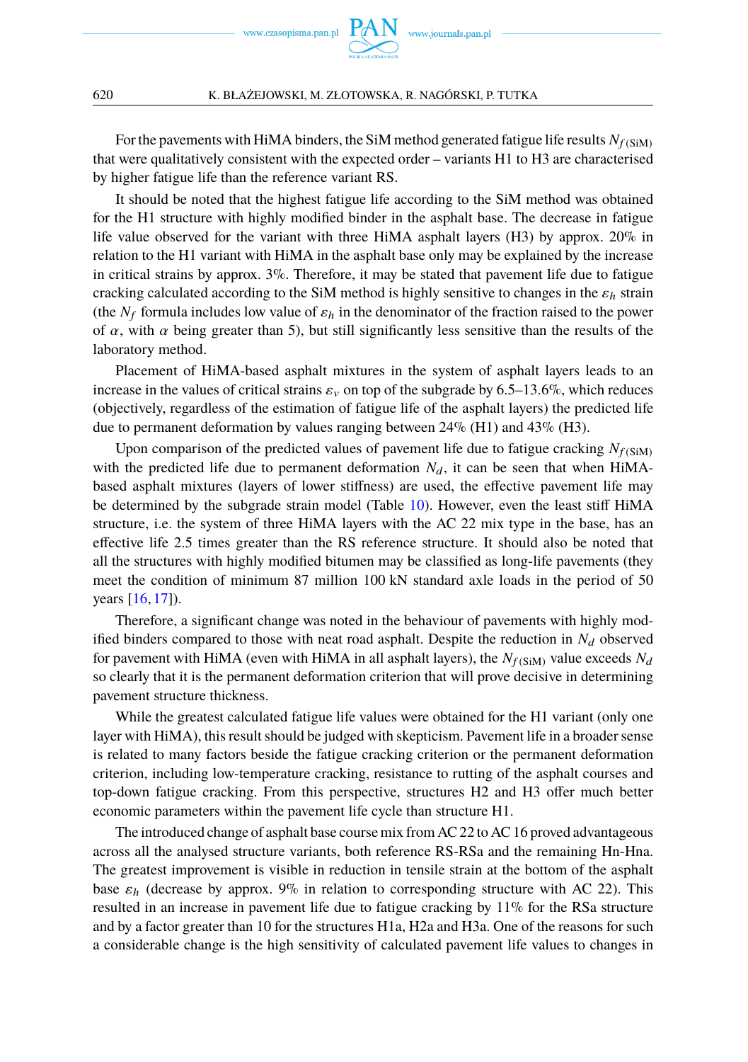

For the pavements with HiMA binders, the SiM method generated fatigue life results  $N_{f(SiM)}$ that were qualitatively consistent with the expected order – variants H1 to H3 are characterised by higher fatigue life than the reference variant RS.

It should be noted that the highest fatigue life according to the SiM method was obtained for the H1 structure with highly modified binder in the asphalt base. The decrease in fatigue life value observed for the variant with three HiMA asphalt layers (H3) by approx. 20% in relation to the H1 variant with HiMA in the asphalt base only may be explained by the increase in critical strains by approx.  $3\%$ . Therefore, it may be stated that pavement life due to fatigue cracking calculated according to the SiM method is highly sensitive to changes in the  $\varepsilon_h$  strain (the  $N_f$  formula includes low value of  $\varepsilon_h$  in the denominator of the fraction raised to the power of  $\alpha$ , with  $\alpha$  being greater than 5), but still significantly less sensitive than the results of the laboratory method.

Placement of HiMA-based asphalt mixtures in the system of asphalt layers leads to an increase in the values of critical strains  $\varepsilon_v$  on top of the subgrade by 6.5–13.6%, which reduces (objectively, regardless of the estimation of fatigue life of the asphalt layers) the predicted life due to permanent deformation by values ranging between 24% (H1) and 43% (H3).

Upon comparison of the predicted values of pavement life due to fatigue cracking  $N_{f(SiM)}$ with the predicted life due to permanent deformation  $N_d$ , it can be seen that when HiMAbased asphalt mixtures (layers of lower stiffness) are used, the effective pavement life may be determined by the subgrade strain model (Table [10\)](#page-12-1). However, even the least stiff HiMA structure, i.e. the system of three HiMA layers with the AC 22 mix type in the base, has an effective life 2.5 times greater than the RS reference structure. It should also be noted that all the structures with highly modified bitumen may be classified as long-life pavements (they meet the condition of minimum 87 million 100 kN standard axle loads in the period of 50 years [\[16,](#page-17-21) [17\]](#page-17-22)).

Therefore, a significant change was noted in the behaviour of pavements with highly modified binders compared to those with neat road asphalt. Despite the reduction in  $N_d$  observed for pavement with HiMA (even with HiMA in all asphalt layers), the  $N_f$ (sim) value exceeds  $N_d$ so clearly that it is the permanent deformation criterion that will prove decisive in determining pavement structure thickness.

While the greatest calculated fatigue life values were obtained for the H1 variant (only one layer with HiMA), this result should be judged with skepticism. Pavement life in a broader sense is related to many factors beside the fatigue cracking criterion or the permanent deformation criterion, including low-temperature cracking, resistance to rutting of the asphalt courses and top-down fatigue cracking. From this perspective, structures H2 and H3 offer much better economic parameters within the pavement life cycle than structure H1.

The introduced change of asphalt base course mix from AC 22 to AC 16 proved advantageous across all the analysed structure variants, both reference RS-RSa and the remaining Hn-Hna. The greatest improvement is visible in reduction in tensile strain at the bottom of the asphalt base  $\varepsilon_h$  (decrease by approx. 9% in relation to corresponding structure with AC 22). This resulted in an increase in pavement life due to fatigue cracking by 11% for the RSa structure and by a factor greater than 10 for the structures H1a, H2a and H3a. One of the reasons for such a considerable change is the high sensitivity of calculated pavement life values to changes in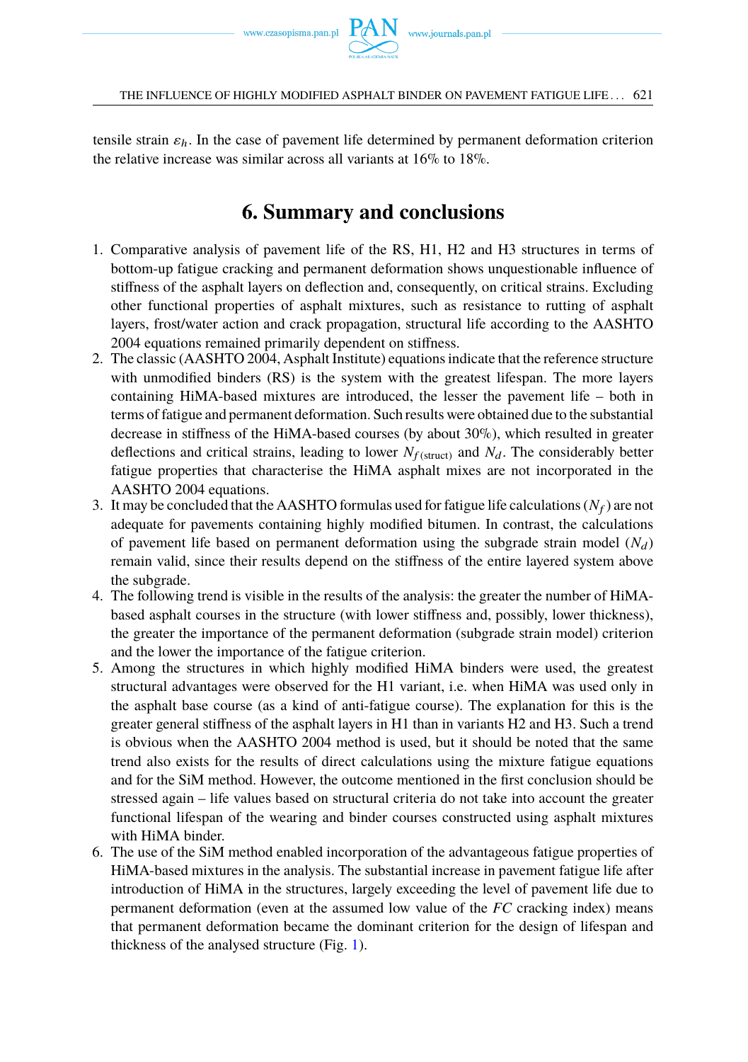

tensile strain  $\varepsilon_h$ . In the case of pavement life determined by permanent deformation criterion the relative increase was similar across all variants at 16% to 18%.

## **6. Summary and conclusions**

- 1. Comparative analysis of pavement life of the RS, H1, H2 and H3 structures in terms of bottom-up fatigue cracking and permanent deformation shows unquestionable influence of stiffness of the asphalt layers on deflection and, consequently, on critical strains. Excluding other functional properties of asphalt mixtures, such as resistance to rutting of asphalt layers, frost/water action and crack propagation, structural life according to the AASHTO 2004 equations remained primarily dependent on stiffness.
- 2. The classic (AASHTO 2004, Asphalt Institute) equations indicate that the reference structure with unmodified binders (RS) is the system with the greatest lifespan. The more layers containing HiMA-based mixtures are introduced, the lesser the pavement life – both in terms of fatigue and permanent deformation. Such results were obtained due to the substantial decrease in stiffness of the HiMA-based courses (by about 30%), which resulted in greater deflections and critical strains, leading to lower  $N_{f(\text{struct})}$  and  $N_d$ . The considerably better fatigue properties that characterise the HiMA asphalt mixes are not incorporated in the AASHTO 2004 equations.
- 3. It may be concluded that the AASHTO formulas used for fatigue life calculations  $(N_f)$  are not adequate for pavements containing highly modified bitumen. In contrast, the calculations of pavement life based on permanent deformation using the subgrade strain model  $(N_d)$ remain valid, since their results depend on the stiffness of the entire layered system above the subgrade.
- 4. The following trend is visible in the results of the analysis: the greater the number of HiMAbased asphalt courses in the structure (with lower stiffness and, possibly, lower thickness), the greater the importance of the permanent deformation (subgrade strain model) criterion and the lower the importance of the fatigue criterion.
- 5. Among the structures in which highly modified HiMA binders were used, the greatest structural advantages were observed for the H1 variant, i.e. when HiMA was used only in the asphalt base course (as a kind of anti-fatigue course). The explanation for this is the greater general stiffness of the asphalt layers in H1 than in variants H2 and H3. Such a trend is obvious when the AASHTO 2004 method is used, but it should be noted that the same trend also exists for the results of direct calculations using the mixture fatigue equations and for the SiM method. However, the outcome mentioned in the first conclusion should be stressed again – life values based on structural criteria do not take into account the greater functional lifespan of the wearing and binder courses constructed using asphalt mixtures with HiMA binder.
- 6. The use of the SiM method enabled incorporation of the advantageous fatigue properties of HiMA-based mixtures in the analysis. The substantial increase in pavement fatigue life after introduction of HiMA in the structures, largely exceeding the level of pavement life due to permanent deformation (even at the assumed low value of the *FC* cracking index) means that permanent deformation became the dominant criterion for the design of lifespan and thickness of the analysed structure (Fig. [1\)](#page-4-0).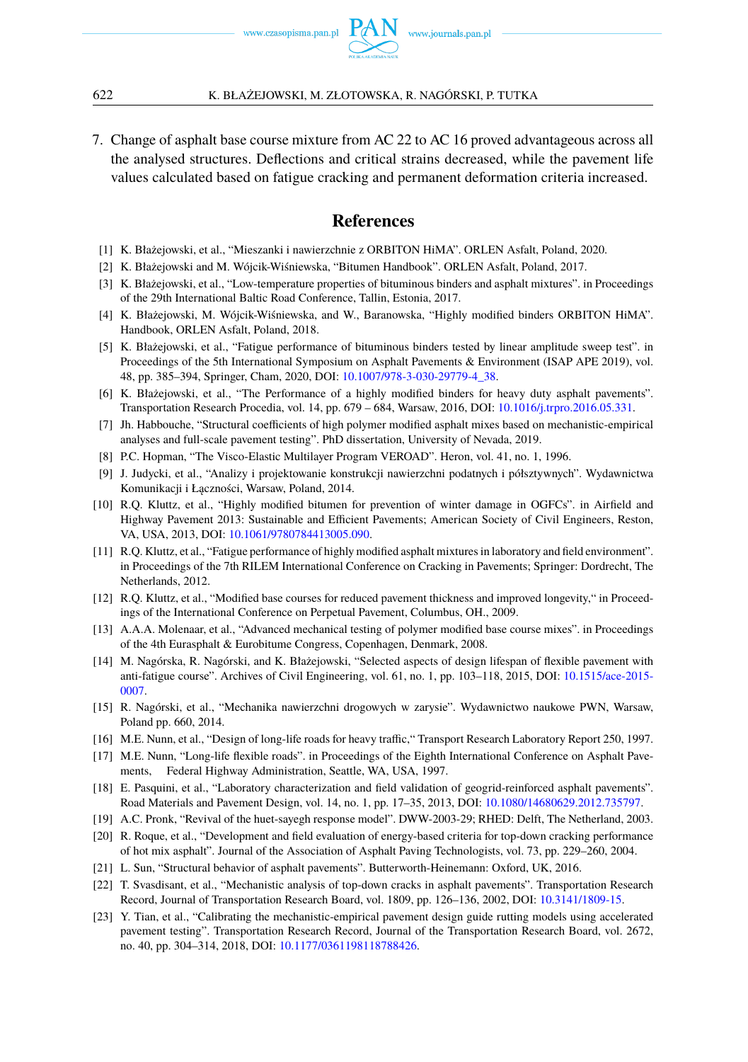

7. Change of asphalt base course mixture from AC 22 to AC 16 proved advantageous across all the analysed structures. Deflections and critical strains decreased, while the pavement life values calculated based on fatigue cracking and permanent deformation criteria increased.

### **References**

- <span id="page-17-8"></span>[1] K. Błażejowski, et al., "Mieszanki i nawierzchnie z ORBITON HiMA". ORLEN Asfalt, Poland, 2020.
- <span id="page-17-4"></span>[2] K. Błażejowski and M. Wójcik-Wiśniewska, "Bitumen Handbook". ORLEN Asfalt, Poland, 2017.
- <span id="page-17-6"></span>[3] K. Błażejowski, et al., "Low-temperature properties of bituminous binders and asphalt mixtures". in Proceedings of the 29th International Baltic Road Conference, Tallin, Estonia, 2017.
- <span id="page-17-5"></span>[4] K. Błażejowski, M. Wójcik-Wiśniewska, and W., Baranowska, "Highly modified binders ORBITON HiMA". Handbook, ORLEN Asfalt, Poland, 2018.
- <span id="page-17-0"></span>[5] K. Błażejowski, et al., "Fatigue performance of bituminous binders tested by linear amplitude sweep test". in Proceedings of the 5th International Symposium on Asphalt Pavements & Environment (ISAP APE 2019), vol. 48, pp. 385–394, Springer, Cham, 2020, DOI: [10.1007/978-3-030-29779-4\\_38.](https://doi.org/10.1007/978-3-030-29779-4_38)
- <span id="page-17-1"></span>[6] K. Błażejowski, et al., "The Performance of a highly modified binders for heavy duty asphalt pavements". Transportation Research Procedia, vol. 14, pp. 679 – 684, Warsaw, 2016, DOI: [10.1016/j.trpro.2016.05.331.](https://doi.org/10.1016/j.trpro.2016.05.331)
- <span id="page-17-15"></span>[7] Jh. Habbouche, "Structural coefficients of high polymer modified asphalt mixes based on mechanistic-empirical analyses and full-scale pavement testing". PhD dissertation, University of Nevada, 2019.
- <span id="page-17-17"></span>[8] P.C. Hopman, "The Visco-Elastic Multilayer Program VEROAD". Heron, vol. 41, no. 1, 1996.
- <span id="page-17-20"></span>[9] J. Judycki, et al., "Analizy i projektowanie konstrukcji nawierzchni podatnych i półsztywnych". Wydawnictwa Komunikacji i Łączności, Warsaw, Poland, 2014.
- <span id="page-17-2"></span>[10] R.Q. Kluttz, et al., "Highly modified bitumen for prevention of winter damage in OGFCs". in Airfield and Highway Pavement 2013: Sustainable and Efficient Pavements; American Society of Civil Engineers, Reston, VA, USA, 2013, DOI: [10.1061/9780784413005.090.](https://doi.org/10.1061/9780784413005.090)
- <span id="page-17-9"></span>[11] R.Q. Kluttz, et al., "Fatigue performance of highly modified asphalt mixtures in laboratory and field environment". in Proceedings of the 7th RILEM International Conference on Cracking in Pavements; Springer: Dordrecht, The Netherlands, 2012.
- <span id="page-17-3"></span>[12] R.Q. Kluttz, et al., "Modified base courses for reduced pavement thickness and improved longevity," in Proceedings of the International Conference on Perpetual Pavement, Columbus, OH., 2009.
- <span id="page-17-16"></span>[13] A.A.A. Molenaar, et al., "Advanced mechanical testing of polymer modified base course mixes". in Proceedings of the 4th Eurasphalt & Eurobitume Congress, Copenhagen, Denmark, 2008.
- <span id="page-17-7"></span>[14] M. Nagórska, R. Nagórski, and K. Błażejowski, "Selected aspects of design lifespan of flexible pavement with anti-fatigue course". Archives of Civil Engineering, vol. 61, no. 1, pp. 103–118, 2015, DOI: [10.1515/ace-2015-](https://doi.org/10.1515/ace-2015-0007) [0007.](https://doi.org/10.1515/ace-2015-0007)
- <span id="page-17-19"></span>[15] R. Nagórski, et al., "Mechanika nawierzchni drogowych w zarysie". Wydawnictwo naukowe PWN, Warsaw, Poland pp. 660, 2014.
- <span id="page-17-21"></span>[16] M.E. Nunn, et al., "Design of long-life roads for heavy traffic," Transport Research Laboratory Report 250, 1997.
- <span id="page-17-22"></span>[17] M.E. Nunn, "Long-life flexible roads". in Proceedings of the Eighth International Conference on Asphalt Pavements, Federal Highway Administration, Seattle, WA, USA, 1997.
- <span id="page-17-14"></span>[18] E. Pasquini, et al., "Laboratory characterization and field validation of geogrid-reinforced asphalt pavements". Road Materials and Pavement Design, vol. 14, no. 1, pp. 17–35, 2013, DOI: [10.1080/14680629.2012.735797.](https://doi.org/10.1080/14680629.2012.735797)
- <span id="page-17-18"></span>[19] A.C. Pronk, "Revival of the huet-sayegh response model". DWW-2003-29; RHED: Delft, The Netherland, 2003.
- <span id="page-17-11"></span>[20] R. Roque, et al., "Development and field evaluation of energy-based criteria for top-down cracking performance of hot mix asphalt". Journal of the Association of Asphalt Paving Technologists, vol. 73, pp. 229–260, 2004.
- <span id="page-17-10"></span>[21] L. Sun, "Structural behavior of asphalt pavements". Butterworth-Heinemann: Oxford, UK, 2016.
- <span id="page-17-12"></span>[22] T. Svasdisant, et al., "Mechanistic analysis of top-down cracks in asphalt pavements". Transportation Research Record, Journal of Transportation Research Board, vol. 1809, pp. 126–136, 2002, DOI: [10.3141/1809-15.](https://doi.org/10.3141/1809-15)
- <span id="page-17-13"></span>[23] Y. Tian, et al., "Calibrating the mechanistic-empirical pavement design guide rutting models using accelerated pavement testing". Transportation Research Record, Journal of the Transportation Research Board, vol. 2672, no. 40, pp. 304–314, 2018, DOI: [10.1177/0361198118788426.](https://doi.org/10.1177/0361198118788426)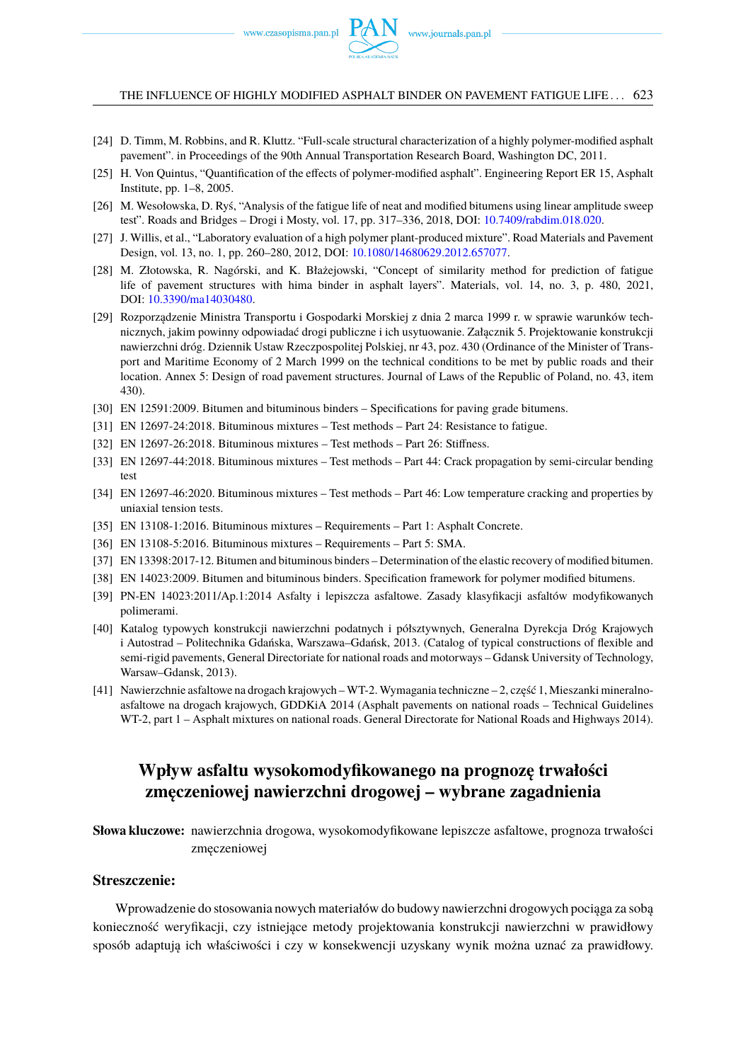THE INFLUENCE OF HIGHLY MODIFIED ASPHALT BINDER ON PAVEMENT FATIGUE LIFE . . . 623

- <span id="page-18-1"></span>[24] D. Timm, M. Robbins, and R. Kluttz. "Full-scale structural characterization of a highly polymer-modified asphalt pavement". in Proceedings of the 90th Annual Transportation Research Board, Washington DC, 2011.
- [25] H. Von Quintus, "Quantification of the effects of polymer-modified asphalt". Engineering Report ER 15, Asphalt Institute, pp. 1–8, 2005.
- <span id="page-18-5"></span>[26] M. Wesołowska, D. Ryś, "Analysis of the fatigue life of neat and modified bitumens using linear amplitude sweep test". Roads and Bridges – Drogi i Mosty, vol. 17, pp. 317–336, 2018, DOI: [10.7409/rabdim.018.020.](https://doi.org/10.7409/rabdim.018.020)
- [27] J. Willis, et al., "Laboratory evaluation of a high polymer plant-produced mixture". Road Materials and Pavement Design, vol. 13, no. 1, pp. 260–280, 2012, DOI: [10.1080/14680629.2012.657077.](https://doi.org/10.1080/14680629.2012.657077)
- <span id="page-18-6"></span>[28] M. Złotowska, R. Nagórski, and K. Błażejowski, "Concept of similarity method for prediction of fatigue life of pavement structures with hima binder in asphalt layers". Materials, vol. 14, no. 3, p. 480, 2021, DOI: [10.3390/ma14030480.](https://doi.org/10.3390/ma14030480)
- <span id="page-18-14"></span>[29] Rozporządzenie Ministra Transportu i Gospodarki Morskiej z dnia 2 marca 1999 r. w sprawie warunków technicznych, jakim powinny odpowiadać drogi publiczne i ich usytuowanie. Załącznik 5. Projektowanie konstrukcji nawierzchni dróg. Dziennik Ustaw Rzeczpospolitej Polskiej, nr 43, poz. 430 (Ordinance of the Minister of Transport and Maritime Economy of 2 March 1999 on the technical conditions to be met by public roads and their location. Annex 5: Design of road pavement structures. Journal of Laws of the Republic of Poland, no. 43, item 430).
- <span id="page-18-12"></span>[30] EN 12591:2009. Bitumen and bituminous binders – Specifications for paving grade bitumens.
- <span id="page-18-2"></span>[31] EN 12697-24:2018. Bituminous mixtures – Test methods – Part 24: Resistance to fatigue.
- <span id="page-18-13"></span>[32] EN 12697-26:2018. Bituminous mixtures – Test methods – Part 26: Stiffness.
- <span id="page-18-4"></span>[33] EN 12697-44:2018. Bituminous mixtures – Test methods – Part 44: Crack propagation by semi-circular bending test
- <span id="page-18-3"></span>[34] EN 12697-46:2020. Bituminous mixtures – Test methods – Part 46: Low temperature cracking and properties by uniaxial tension tests.
- <span id="page-18-8"></span>[35] EN 13108-1:2016. Bituminous mixtures – Requirements – Part 1: Asphalt Concrete.
- <span id="page-18-9"></span>[36] EN 13108-5:2016. Bituminous mixtures – Requirements – Part 5: SMA.
- [37] EN 13398:2017-12. Bitumen and bituminous binders Determination of the elastic recovery of modified bitumen.
- <span id="page-18-10"></span>[38] EN 14023:2009. Bitumen and bituminous binders. Specification framework for polymer modified bitumens.
- <span id="page-18-11"></span>[39] PN-EN 14023:2011/Ap.1:2014 Asfalty i lepiszcza asfaltowe. Zasady klasyfikacji asfaltów modyfikowanych polimerami.
- <span id="page-18-15"></span>[40] Katalog typowych konstrukcji nawierzchni podatnych i półsztywnych, Generalna Dyrekcja Dróg Krajowych i Autostrad – Politechnika Gdańska, Warszawa–Gdańsk, 2013. (Catalog of typical constructions of flexible and semi-rigid pavements, General Directoriate for national roads and motorways – Gdansk University of Technology, Warsaw–Gdansk, 2013).
- <span id="page-18-7"></span>[41] Nawierzchnie asfaltowe na drogach krajowych – WT-2. Wymagania techniczne – 2, część 1, Mieszanki mineralnoasfaltowe na drogach krajowych, GDDKiA 2014 (Asphalt pavements on national roads – Technical Guidelines WT-2, part 1 – Asphalt mixtures on national roads. General Directorate for National Roads and Highways 2014).

## <span id="page-18-0"></span>Wpływ asfaltu wysokomodyfikowanego na prognozę trwałości **zm ˛eczeniowej nawierzchni drogowej – wybrane zagadnienia**

**Słowa kluczowe:** nawierzchnia drogowa, wysokomodyfikowane lepiszcze asfaltowe, prognoza trwałości zmęczeniowej

### **Streszczenie:**

Wprowadzenie do stosowania nowych materiałów do budowy nawierzchni drogowych pociąga za sobą konieczność weryfikacji, czy istniejące metody projektowania konstrukcji nawierzchni w prawidłowy sposób adaptują ich właściwości i czy w konsekwencji uzyskany wynik można uznać za prawidłowy.